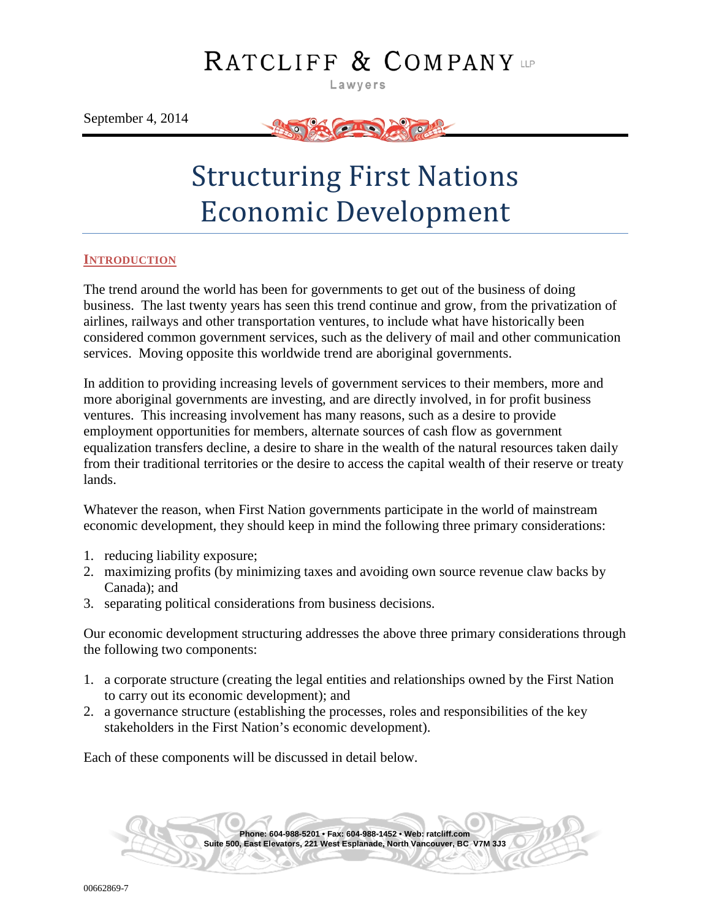## RATCLIFF & COMPANY

Lawyers

September 4, 2014



# Structuring First Nations Economic Development

#### <span id="page-0-0"></span>**INTRODUCTION**

The trend around the world has been for governments to get out of the business of doing business. The last twenty years has seen this trend continue and grow, from the privatization of airlines, railways and other transportation ventures, to include what have historically been considered common government services, such as the delivery of mail and other communication services. Moving opposite this worldwide trend are aboriginal governments.

In addition to providing increasing levels of government services to their members, more and more aboriginal governments are investing, and are directly involved, in for profit business ventures. This increasing involvement has many reasons, such as a desire to provide employment opportunities for members, alternate sources of cash flow as government equalization transfers decline, a desire to share in the wealth of the natural resources taken daily from their traditional territories or the desire to access the capital wealth of their reserve or treaty lands.

Whatever the reason, when First Nation governments participate in the world of mainstream economic development, they should keep in mind the following three primary considerations:

- 1. reducing liability exposure;
- 2. maximizing profits (by minimizing taxes and avoiding own source revenue claw backs by Canada); and
- 3. separating political considerations from business decisions.

Our economic development structuring addresses the above three primary considerations through the following two components:

- 1. a corporate structure (creating the legal entities and relationships owned by the First Nation to carry out its economic development); and
- 2. a governance structure (establishing the processes, roles and responsibilities of the key stakeholders in the First Nation's economic development).

Each of these components will be discussed in detail below.

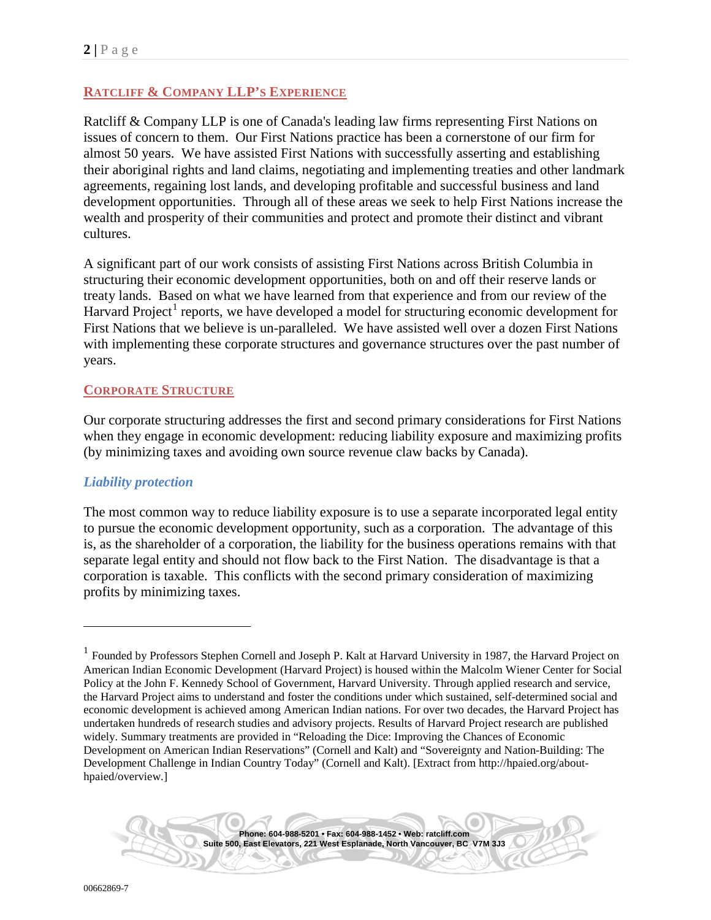## <span id="page-1-1"></span>**RATCLIFF & COMPANY LLP'S EXPERIENCE**

Ratcliff & Company LLP is one of Canada's leading law firms representing First Nations on issues of concern to them. Our First Nations practice has been a cornerstone of our firm for almost 50 years. We have assisted First Nations with successfully asserting and establishing their aboriginal rights and land claims, negotiating and implementing treaties and other landmark agreements, regaining lost lands, and developing profitable and successful business and land development opportunities. Through all of these areas we seek to help First Nations increase the wealth and prosperity of their communities and protect and promote their distinct and vibrant cultures.

A significant part of our work consists of assisting First Nations across British Columbia in structuring their economic development opportunities, both on and off their reserve lands or treaty lands. Based on what we have learned from that experience and from our review of the Harvard Project<sup>[1](#page-1-0)</sup> reports, we have developed a model for structuring economic development for First Nations that we believe is un-paralleled. We have assisted well over a dozen First Nations with implementing these corporate structures and governance structures over the past number of years.

## <span id="page-1-2"></span>**CORPORATE STRUCTURE**

Our corporate structuring addresses the first and second primary considerations for First Nations when they engage in economic development: reducing liability exposure and maximizing profits (by minimizing taxes and avoiding own source revenue claw backs by Canada).

## <span id="page-1-3"></span>*Liability protection*

The most common way to reduce liability exposure is to use a separate incorporated legal entity to pursue the economic development opportunity, such as a corporation. The advantage of this is, as the shareholder of a corporation, the liability for the business operations remains with that separate legal entity and should not flow back to the First Nation. The disadvantage is that a corporation is taxable. This conflicts with the second primary consideration of maximizing profits by minimizing taxes.

<span id="page-1-0"></span><sup>&</sup>lt;sup>1</sup> Founded by Professors Stephen Cornell and Joseph P. Kalt at Harvard University in 1987, the Harvard Project on American Indian Economic Development (Harvard Project) is housed within the Malcolm Wiener Center for Social Policy at the John F. Kennedy School of Government, Harvard University. Through applied research and service, the Harvard Project aims to understand and foster the conditions under which sustained, self-determined social and economic development is achieved among American Indian nations. For over two decades, the Harvard Project has undertaken hundreds of research studies and advisory projects. Results of Harvard Project research are published widely. Summary treatments are provided in "Reloading the Dice: Improving the Chances of Economic Development on American Indian Reservations" (Cornell and Kalt) and "Sovereignty and Nation-Building: The Development Challenge in Indian Country Today" (Cornell and Kalt). [Extract from http://hpaied.org/abouthpaied/overview.]

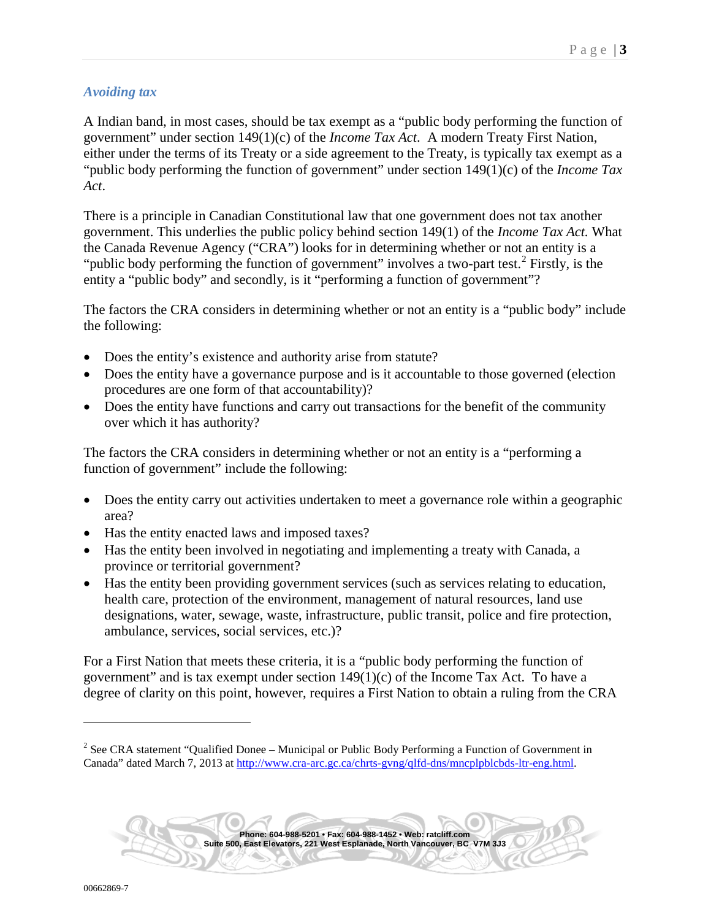## <span id="page-2-1"></span>*Avoiding tax*

A Indian band, in most cases, should be tax exempt as a "public body performing the function of government" under section 149(1)(c) of the *Income Tax Act*. A modern Treaty First Nation, either under the terms of its Treaty or a side agreement to the Treaty, is typically tax exempt as a "public body performing the function of government" under section 149(1)(c) of the *Income Tax Act*.

There is a principle in Canadian Constitutional law that one government does not tax another government. This underlies the public policy behind section 149(1) of the *Income Tax Act.* What the Canada Revenue Agency ("CRA") looks for in determining whether or not an entity is a "public body performing the function of government" involves a two-part test.<sup>[2](#page-2-0)</sup> Firstly, is the entity a "public body" and secondly, is it "performing a function of government"?

The factors the CRA considers in determining whether or not an entity is a "public body" include the following:

- Does the entity's existence and authority arise from statute?
- Does the entity have a governance purpose and is it accountable to those governed (election procedures are one form of that accountability)?
- Does the entity have functions and carry out transactions for the benefit of the community over which it has authority?

The factors the CRA considers in determining whether or not an entity is a "performing a function of government" include the following:

- Does the entity carry out activities undertaken to meet a governance role within a geographic area?
- Has the entity enacted laws and imposed taxes?
- Has the entity been involved in negotiating and implementing a treaty with Canada, a province or territorial government?
- Has the entity been providing government services (such as services relating to education, health care, protection of the environment, management of natural resources, land use designations, water, sewage, waste, infrastructure, public transit, police and fire protection, ambulance, services, social services, etc.)?

For a First Nation that meets these criteria, it is a "public body performing the function of government" and is tax exempt under section  $149(1)(c)$  of the Income Tax Act. To have a degree of clarity on this point, however, requires a First Nation to obtain a ruling from the CRA



<span id="page-2-0"></span><sup>&</sup>lt;sup>2</sup> See CRA statement "Qualified Donee – Municipal or Public Body Performing a Function of Government in Canada" dated March 7, 2013 at [http://www.cra-arc.gc.ca/chrts-gvng/qlfd-dns/mncplpblcbds-ltr-eng.html.](http://www.cra-arc.gc.ca/chrts-gvng/qlfd-dns/mncplpblcbds-ltr-eng.html)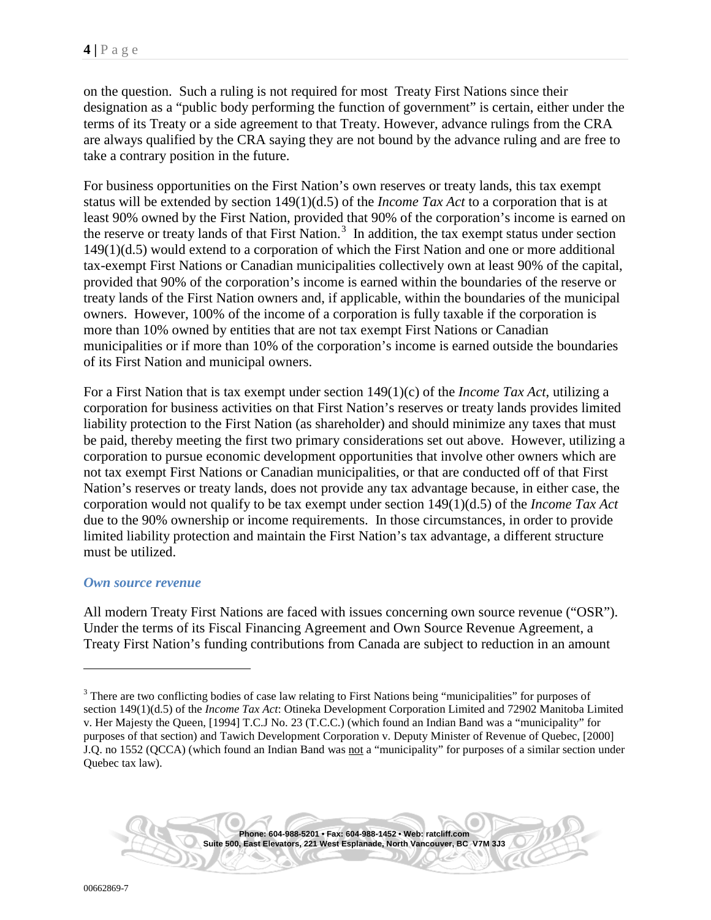on the question. Such a ruling is not required for most Treaty First Nations since their designation as a "public body performing the function of government" is certain, either under the terms of its Treaty or a side agreement to that Treaty. However, advance rulings from the CRA are always qualified by the CRA saying they are not bound by the advance ruling and are free to take a contrary position in the future.

For business opportunities on the First Nation's own reserves or treaty lands, this tax exempt status will be extended by section 149(1)(d.5) of the *Income Tax Act* to a corporation that is at least 90% owned by the First Nation, provided that 90% of the corporation's income is earned on the reserve or treaty lands of that First Nation.<sup>[3](#page-3-0)</sup> In addition, the tax exempt status under section 149(1)(d.5) would extend to a corporation of which the First Nation and one or more additional tax-exempt First Nations or Canadian municipalities collectively own at least 90% of the capital, provided that 90% of the corporation's income is earned within the boundaries of the reserve or treaty lands of the First Nation owners and, if applicable, within the boundaries of the municipal owners. However, 100% of the income of a corporation is fully taxable if the corporation is more than 10% owned by entities that are not tax exempt First Nations or Canadian municipalities or if more than 10% of the corporation's income is earned outside the boundaries of its First Nation and municipal owners.

For a First Nation that is tax exempt under section 149(1)(c) of the *Income Tax Act*, utilizing a corporation for business activities on that First Nation's reserves or treaty lands provides limited liability protection to the First Nation (as shareholder) and should minimize any taxes that must be paid, thereby meeting the first two primary considerations set out above. However, utilizing a corporation to pursue economic development opportunities that involve other owners which are not tax exempt First Nations or Canadian municipalities, or that are conducted off of that First Nation's reserves or treaty lands, does not provide any tax advantage because, in either case, the corporation would not qualify to be tax exempt under section 149(1)(d.5) of the *Income Tax Act* due to the 90% ownership or income requirements. In those circumstances, in order to provide limited liability protection and maintain the First Nation's tax advantage, a different structure must be utilized.

#### <span id="page-3-1"></span>*Own source revenue*

All modern Treaty First Nations are faced with issues concerning own source revenue ("OSR"). Under the terms of its Fiscal Financing Agreement and Own Source Revenue Agreement, a Treaty First Nation's funding contributions from Canada are subject to reduction in an amount



**Suite 500, East Elevators, 221 West Esplanade, North Vancouver, BC V7M 3J3**

<span id="page-3-0"></span><sup>&</sup>lt;sup>3</sup> There are two conflicting bodies of case law relating to First Nations being "municipalities" for purposes of section 149(1)(d.5) of the *Income Tax Act*: Otineka Development Corporation Limited and 72902 Manitoba Limited v. Her Majesty the Queen, [1994] T.C.J No. 23 (T.C.C.) (which found an Indian Band was a "municipality" for purposes of that section) and Tawich Development Corporation v. Deputy Minister of Revenue of Quebec, [2000] J.Q. no 1552 (QCCA) (which found an Indian Band was not a "municipality" for purposes of a similar section under Quebec tax law).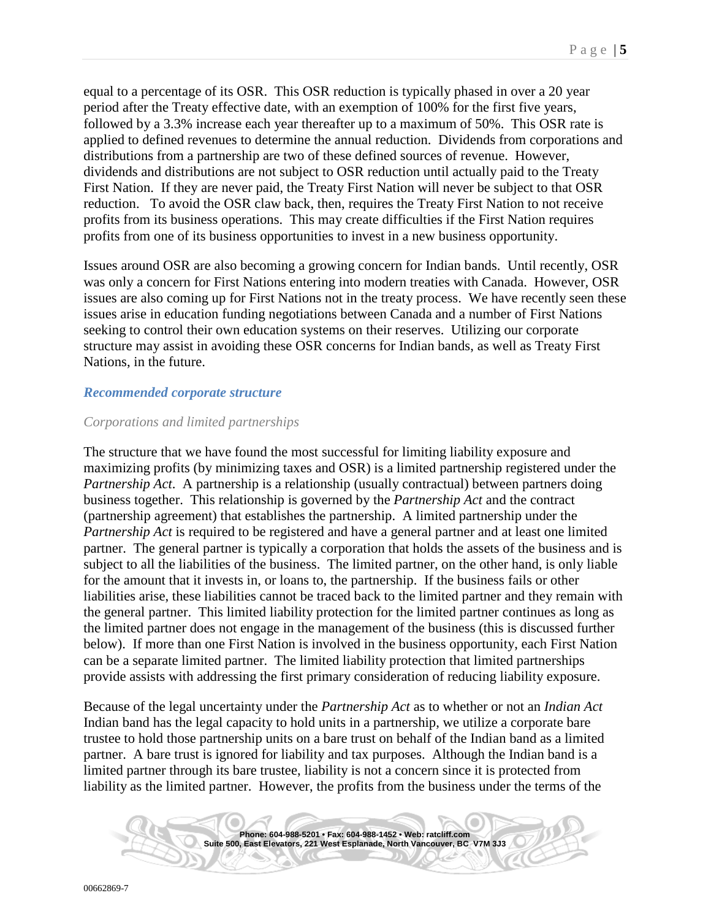equal to a percentage of its OSR. This OSR reduction is typically phased in over a 20 year period after the Treaty effective date, with an exemption of 100% for the first five years, followed by a 3.3% increase each year thereafter up to a maximum of 50%. This OSR rate is applied to defined revenues to determine the annual reduction. Dividends from corporations and distributions from a partnership are two of these defined sources of revenue. However, dividends and distributions are not subject to OSR reduction until actually paid to the Treaty First Nation. If they are never paid, the Treaty First Nation will never be subject to that OSR reduction. To avoid the OSR claw back, then, requires the Treaty First Nation to not receive profits from its business operations. This may create difficulties if the First Nation requires profits from one of its business opportunities to invest in a new business opportunity.

Issues around OSR are also becoming a growing concern for Indian bands. Until recently, OSR was only a concern for First Nations entering into modern treaties with Canada. However, OSR issues are also coming up for First Nations not in the treaty process. We have recently seen these issues arise in education funding negotiations between Canada and a number of First Nations seeking to control their own education systems on their reserves. Utilizing our corporate structure may assist in avoiding these OSR concerns for Indian bands, as well as Treaty First Nations, in the future.

#### <span id="page-4-0"></span>*Recommended corporate structure*

## <span id="page-4-1"></span>*Corporations and limited partnerships*

The structure that we have found the most successful for limiting liability exposure and maximizing profits (by minimizing taxes and OSR) is a limited partnership registered under the *Partnership Act*. A partnership is a relationship (usually contractual) between partners doing business together. This relationship is governed by the *Partnership Act* and the contract (partnership agreement) that establishes the partnership. A limited partnership under the *Partnership Act* is required to be registered and have a general partner and at least one limited partner. The general partner is typically a corporation that holds the assets of the business and is subject to all the liabilities of the business. The limited partner, on the other hand, is only liable for the amount that it invests in, or loans to, the partnership. If the business fails or other liabilities arise, these liabilities cannot be traced back to the limited partner and they remain with the general partner. This limited liability protection for the limited partner continues as long as the limited partner does not engage in the management of the business (this is discussed further below). If more than one First Nation is involved in the business opportunity, each First Nation can be a separate limited partner. The limited liability protection that limited partnerships provide assists with addressing the first primary consideration of reducing liability exposure.

Because of the legal uncertainty under the *Partnership Act* as to whether or not an *Indian Act* Indian band has the legal capacity to hold units in a partnership, we utilize a corporate bare trustee to hold those partnership units on a bare trust on behalf of the Indian band as a limited partner. A bare trust is ignored for liability and tax purposes. Although the Indian band is a limited partner through its bare trustee, liability is not a concern since it is protected from liability as the limited partner. However, the profits from the business under the terms of the

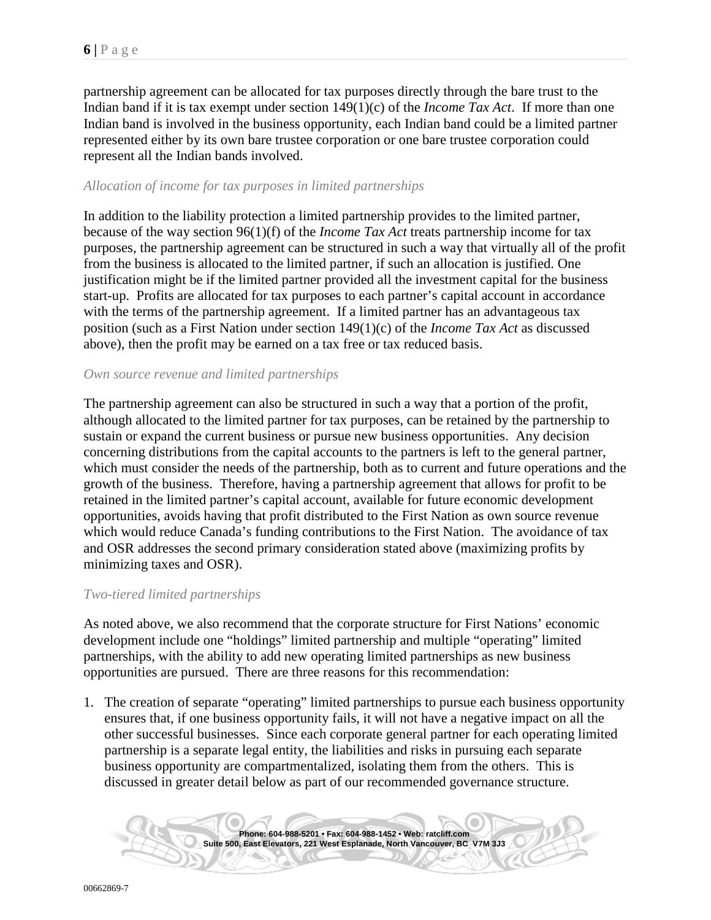partnership agreement can be allocated for tax purposes directly through the bare trust to the Indian band if it is tax exempt under section 149(1)(c) of the *Income Tax Act*. If more than one Indian band is involved in the business opportunity, each Indian band could be a limited partner represented either by its own bare trustee corporation or one bare trustee corporation could represent all the Indian bands involved.

#### <span id="page-5-0"></span>*Allocation of income for tax purposes in limited partnerships*

In addition to the liability protection a limited partnership provides to the limited partner, because of the way section 96(1)(f) of the *Income Tax Act* treats partnership income for tax purposes, the partnership agreement can be structured in such a way that virtually all of the profit from the business is allocated to the limited partner, if such an allocation is justified. One justification might be if the limited partner provided all the investment capital for the business start-up. Profits are allocated for tax purposes to each partner's capital account in accordance with the terms of the partnership agreement. If a limited partner has an advantageous tax position (such as a First Nation under section 149(1)(c) of the *Income Tax Act* as discussed above), then the profit may be earned on a tax free or tax reduced basis.

#### <span id="page-5-1"></span>*Own source revenue and limited partnerships*

The partnership agreement can also be structured in such a way that a portion of the profit, although allocated to the limited partner for tax purposes, can be retained by the partnership to sustain or expand the current business or pursue new business opportunities. Any decision concerning distributions from the capital accounts to the partners is left to the general partner, which must consider the needs of the partnership, both as to current and future operations and the growth of the business. Therefore, having a partnership agreement that allows for profit to be retained in the limited partner's capital account, available for future economic development opportunities, avoids having that profit distributed to the First Nation as own source revenue which would reduce Canada's funding contributions to the First Nation. The avoidance of tax and OSR addresses the second primary consideration stated above (maximizing profits by minimizing taxes and OSR).

#### <span id="page-5-2"></span>*Two-tiered limited partnerships*

As noted above, we also recommend that the corporate structure for First Nations' economic development include one "holdings" limited partnership and multiple "operating" limited partnerships, with the ability to add new operating limited partnerships as new business opportunities are pursued. There are three reasons for this recommendation:

1. The creation of separate "operating" limited partnerships to pursue each business opportunity ensures that, if one business opportunity fails, it will not have a negative impact on all the other successful businesses. Since each corporate general partner for each operating limited partnership is a separate legal entity, the liabilities and risks in pursuing each separate business opportunity are compartmentalized, isolating them from the others. This is discussed in greater detail below as part of our recommended governance structure.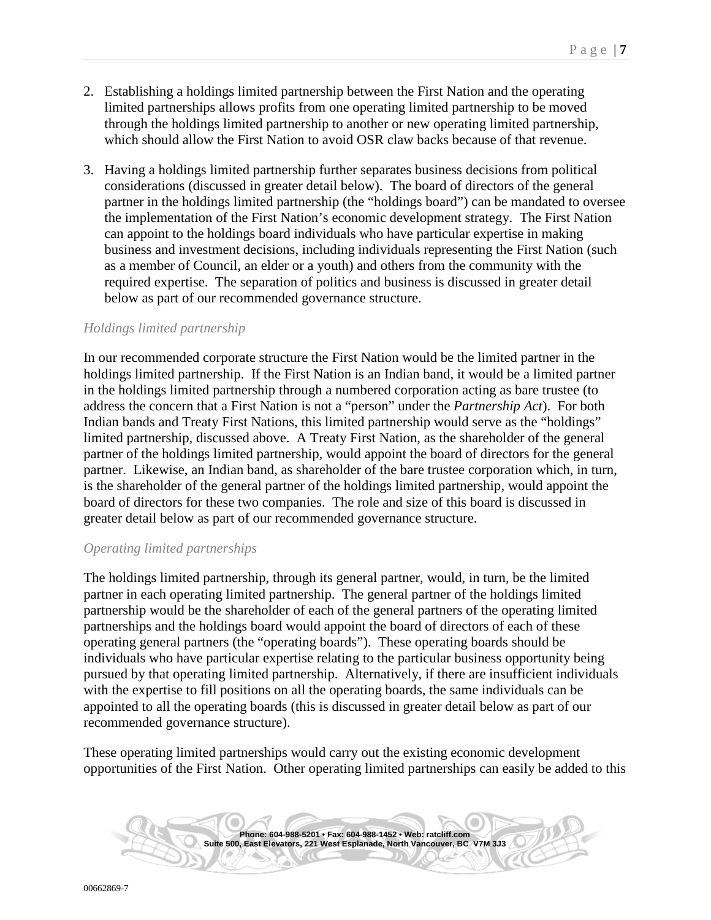- 2. Establishing a holdings limited partnership between the First Nation and the operating limited partnerships allows profits from one operating limited partnership to be moved through the holdings limited partnership to another or new operating limited partnership, which should allow the First Nation to avoid OSR claw backs because of that revenue.
- 3. Having a holdings limited partnership further separates business decisions from political considerations (discussed in greater detail below). The board of directors of the general partner in the holdings limited partnership (the "holdings board") can be mandated to oversee the implementation of the First Nation's economic development strategy. The First Nation can appoint to the holdings board individuals who have particular expertise in making business and investment decisions, including individuals representing the First Nation (such as a member of Council, an elder or a youth) and others from the community with the required expertise. The separation of politics and business is discussed in greater detail below as part of our recommended governance structure.

#### <span id="page-6-0"></span>*Holdings limited partnership*

In our recommended corporate structure the First Nation would be the limited partner in the holdings limited partnership. If the First Nation is an Indian band, it would be a limited partner in the holdings limited partnership through a numbered corporation acting as bare trustee (to address the concern that a First Nation is not a "person" under the *Partnership Act*). For both Indian bands and Treaty First Nations, this limited partnership would serve as the "holdings" limited partnership, discussed above. A Treaty First Nation, as the shareholder of the general partner of the holdings limited partnership, would appoint the board of directors for the general partner. Likewise, an Indian band, as shareholder of the bare trustee corporation which, in turn, is the shareholder of the general partner of the holdings limited partnership, would appoint the board of directors for these two companies. The role and size of this board is discussed in greater detail below as part of our recommended governance structure.

#### <span id="page-6-1"></span>*Operating limited partnerships*

The holdings limited partnership, through its general partner, would, in turn, be the limited partner in each operating limited partnership. The general partner of the holdings limited partnership would be the shareholder of each of the general partners of the operating limited partnerships and the holdings board would appoint the board of directors of each of these operating general partners (the "operating boards"). These operating boards should be individuals who have particular expertise relating to the particular business opportunity being pursued by that operating limited partnership. Alternatively, if there are insufficient individuals with the expertise to fill positions on all the operating boards, the same individuals can be appointed to all the operating boards (this is discussed in greater detail below as part of our recommended governance structure).

These operating limited partnerships would carry out the existing economic development opportunities of the First Nation. Other operating limited partnerships can easily be added to this

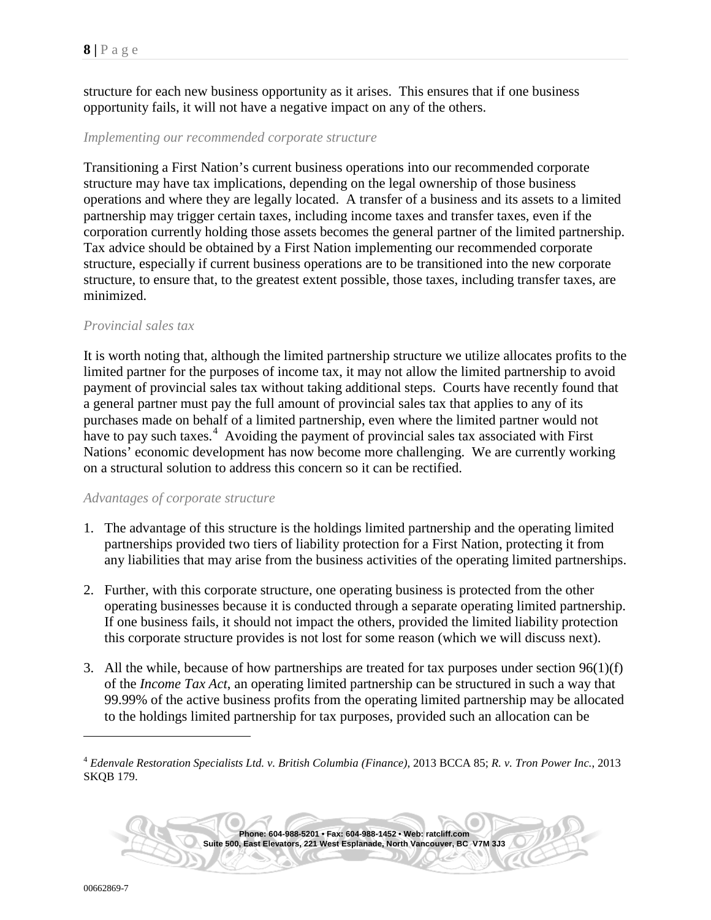structure for each new business opportunity as it arises. This ensures that if one business opportunity fails, it will not have a negative impact on any of the others.

#### <span id="page-7-1"></span>*Implementing our recommended corporate structure*

Transitioning a First Nation's current business operations into our recommended corporate structure may have tax implications, depending on the legal ownership of those business operations and where they are legally located. A transfer of a business and its assets to a limited partnership may trigger certain taxes, including income taxes and transfer taxes, even if the corporation currently holding those assets becomes the general partner of the limited partnership. Tax advice should be obtained by a First Nation implementing our recommended corporate structure, especially if current business operations are to be transitioned into the new corporate structure, to ensure that, to the greatest extent possible, those taxes, including transfer taxes, are minimized.

#### <span id="page-7-2"></span>*Provincial sales tax*

It is worth noting that, although the limited partnership structure we utilize allocates profits to the limited partner for the purposes of income tax, it may not allow the limited partnership to avoid payment of provincial sales tax without taking additional steps. Courts have recently found that a general partner must pay the full amount of provincial sales tax that applies to any of its purchases made on behalf of a limited partnership, even where the limited partner would not have to pay such taxes.<sup>[4](#page-7-0)</sup> Avoiding the payment of provincial sales tax associated with First Nations' economic development has now become more challenging. We are currently working on a structural solution to address this concern so it can be rectified.

#### <span id="page-7-3"></span>*Advantages of corporate structure*

- 1. The advantage of this structure is the holdings limited partnership and the operating limited partnerships provided two tiers of liability protection for a First Nation, protecting it from any liabilities that may arise from the business activities of the operating limited partnerships.
- 2. Further, with this corporate structure, one operating business is protected from the other operating businesses because it is conducted through a separate operating limited partnership. If one business fails, it should not impact the others, provided the limited liability protection this corporate structure provides is not lost for some reason (which we will discuss next).
- 3. All the while, because of how partnerships are treated for tax purposes under section 96(1)(f) of the *Income Tax Act*, an operating limited partnership can be structured in such a way that 99.99% of the active business profits from the operating limited partnership may be allocated to the holdings limited partnership for tax purposes, provided such an allocation can be

<span id="page-7-0"></span><sup>4</sup> *Edenvale Restoration Specialists Ltd. v. British Columbia (Finance)*, 2013 BCCA 85; *R. v. Tron Power Inc.*, 2013 SKQB 179.

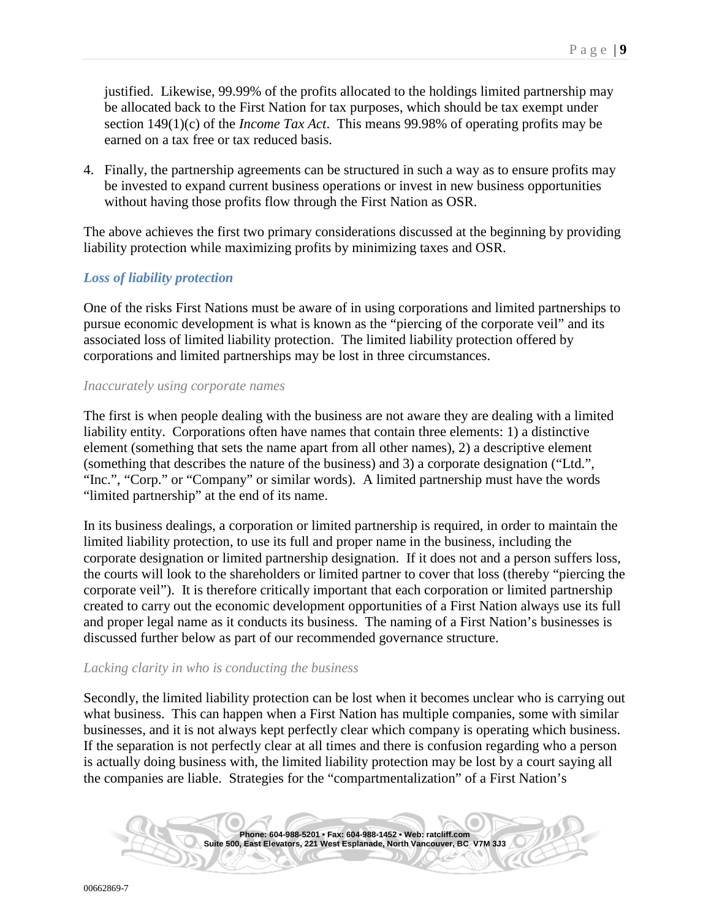justified. Likewise, 99.99% of the profits allocated to the holdings limited partnership may be allocated back to the First Nation for tax purposes, which should be tax exempt under section 149(1)(c) of the *Income Tax Act*. This means 99.98% of operating profits may be earned on a tax free or tax reduced basis.

4. Finally, the partnership agreements can be structured in such a way as to ensure profits may be invested to expand current business operations or invest in new business opportunities without having those profits flow through the First Nation as OSR.

The above achieves the first two primary considerations discussed at the beginning by providing liability protection while maximizing profits by minimizing taxes and OSR.

## <span id="page-8-0"></span>*Loss of liability protection*

One of the risks First Nations must be aware of in using corporations and limited partnerships to pursue economic development is what is known as the "piercing of the corporate veil" and its associated loss of limited liability protection. The limited liability protection offered by corporations and limited partnerships may be lost in three circumstances.

#### <span id="page-8-1"></span>*Inaccurately using corporate names*

The first is when people dealing with the business are not aware they are dealing with a limited liability entity. Corporations often have names that contain three elements: 1) a distinctive element (something that sets the name apart from all other names), 2) a descriptive element (something that describes the nature of the business) and 3) a corporate designation ("Ltd.", "Inc.", "Corp." or "Company" or similar words). A limited partnership must have the words "limited partnership" at the end of its name.

In its business dealings, a corporation or limited partnership is required, in order to maintain the limited liability protection, to use its full and proper name in the business, including the corporate designation or limited partnership designation. If it does not and a person suffers loss, the courts will look to the shareholders or limited partner to cover that loss (thereby "piercing the corporate veil"). It is therefore critically important that each corporation or limited partnership created to carry out the economic development opportunities of a First Nation always use its full and proper legal name as it conducts its business. The naming of a First Nation's businesses is discussed further below as part of our recommended governance structure.

#### <span id="page-8-2"></span>*Lacking clarity in who is conducting the business*

Secondly, the limited liability protection can be lost when it becomes unclear who is carrying out what business. This can happen when a First Nation has multiple companies, some with similar businesses, and it is not always kept perfectly clear which company is operating which business. If the separation is not perfectly clear at all times and there is confusion regarding who a person is actually doing business with, the limited liability protection may be lost by a court saying all the companies are liable. Strategies for the "compartmentalization" of a First Nation's

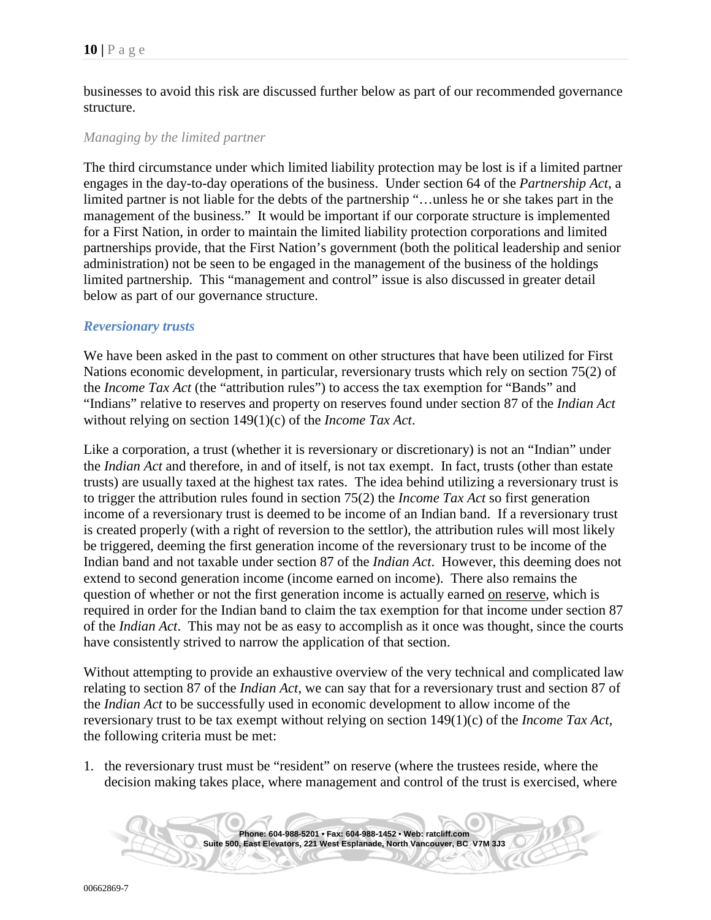businesses to avoid this risk are discussed further below as part of our recommended governance structure.

#### <span id="page-9-0"></span>*Managing by the limited partner*

The third circumstance under which limited liability protection may be lost is if a limited partner engages in the day-to-day operations of the business. Under section 64 of the *Partnership Act*, a limited partner is not liable for the debts of the partnership "…unless he or she takes part in the management of the business." It would be important if our corporate structure is implemented for a First Nation, in order to maintain the limited liability protection corporations and limited partnerships provide, that the First Nation's government (both the political leadership and senior administration) not be seen to be engaged in the management of the business of the holdings limited partnership. This "management and control" issue is also discussed in greater detail below as part of our governance structure.

#### <span id="page-9-1"></span>*Reversionary trusts*

We have been asked in the past to comment on other structures that have been utilized for First Nations economic development, in particular, reversionary trusts which rely on section 75(2) of the *Income Tax Act* (the "attribution rules") to access the tax exemption for "Bands" and "Indians" relative to reserves and property on reserves found under section 87 of the *Indian Act* without relying on section 149(1)(c) of the *Income Tax Act*.

Like a corporation, a trust (whether it is reversionary or discretionary) is not an "Indian" under the *Indian Act* and therefore, in and of itself, is not tax exempt. In fact, trusts (other than estate trusts) are usually taxed at the highest tax rates. The idea behind utilizing a reversionary trust is to trigger the attribution rules found in section 75(2) the *Income Tax Act* so first generation income of a reversionary trust is deemed to be income of an Indian band. If a reversionary trust is created properly (with a right of reversion to the settlor), the attribution rules will most likely be triggered, deeming the first generation income of the reversionary trust to be income of the Indian band and not taxable under section 87 of the *Indian Act*. However, this deeming does not extend to second generation income (income earned on income). There also remains the question of whether or not the first generation income is actually earned on reserve, which is required in order for the Indian band to claim the tax exemption for that income under section 87 of the *Indian Act*. This may not be as easy to accomplish as it once was thought, since the courts have consistently strived to narrow the application of that section.

Without attempting to provide an exhaustive overview of the very technical and complicated law relating to section 87 of the *Indian Act*, we can say that for a reversionary trust and section 87 of the *Indian Act* to be successfully used in economic development to allow income of the reversionary trust to be tax exempt without relying on section 149(1)(c) of the *Income Tax Act*, the following criteria must be met:

1. the reversionary trust must be "resident" on reserve (where the trustees reside, where the decision making takes place, where management and control of the trust is exercised, where

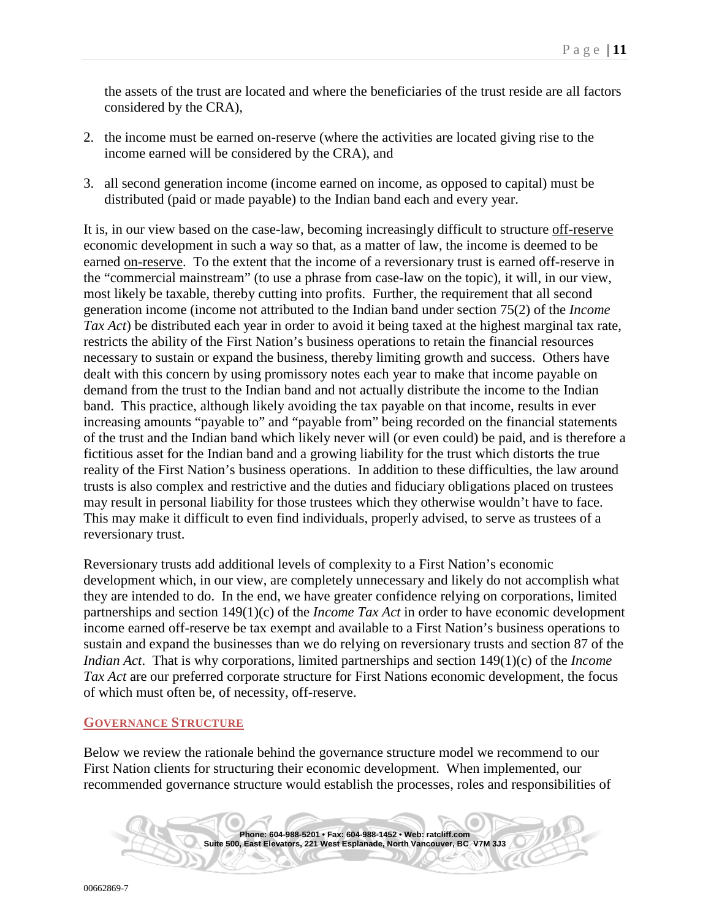the assets of the trust are located and where the beneficiaries of the trust reside are all factors considered by the CRA),

- 2. the income must be earned on-reserve (where the activities are located giving rise to the income earned will be considered by the CRA), and
- 3. all second generation income (income earned on income, as opposed to capital) must be distributed (paid or made payable) to the Indian band each and every year.

It is, in our view based on the case-law, becoming increasingly difficult to structure off-reserve economic development in such a way so that, as a matter of law, the income is deemed to be earned on-reserve. To the extent that the income of a reversionary trust is earned off-reserve in the "commercial mainstream" (to use a phrase from case-law on the topic), it will, in our view, most likely be taxable, thereby cutting into profits. Further, the requirement that all second generation income (income not attributed to the Indian band under section 75(2) of the *Income Tax Act*) be distributed each year in order to avoid it being taxed at the highest marginal tax rate, restricts the ability of the First Nation's business operations to retain the financial resources necessary to sustain or expand the business, thereby limiting growth and success. Others have dealt with this concern by using promissory notes each year to make that income payable on demand from the trust to the Indian band and not actually distribute the income to the Indian band. This practice, although likely avoiding the tax payable on that income, results in ever increasing amounts "payable to" and "payable from" being recorded on the financial statements of the trust and the Indian band which likely never will (or even could) be paid, and is therefore a fictitious asset for the Indian band and a growing liability for the trust which distorts the true reality of the First Nation's business operations. In addition to these difficulties, the law around trusts is also complex and restrictive and the duties and fiduciary obligations placed on trustees may result in personal liability for those trustees which they otherwise wouldn't have to face. This may make it difficult to even find individuals, properly advised, to serve as trustees of a reversionary trust.

Reversionary trusts add additional levels of complexity to a First Nation's economic development which, in our view, are completely unnecessary and likely do not accomplish what they are intended to do. In the end, we have greater confidence relying on corporations, limited partnerships and section 149(1)(c) of the *Income Tax Act* in order to have economic development income earned off-reserve be tax exempt and available to a First Nation's business operations to sustain and expand the businesses than we do relying on reversionary trusts and section 87 of the *Indian Act*. That is why corporations, limited partnerships and section 149(1)(c) of the *Income Tax Act* are our preferred corporate structure for First Nations economic development, the focus of which must often be, of necessity, off-reserve.

#### <span id="page-10-0"></span>**GOVERNANCE STRUCTURE**

Below we review the rationale behind the governance structure model we recommend to our First Nation clients for structuring their economic development. When implemented, our recommended governance structure would establish the processes, roles and responsibilities of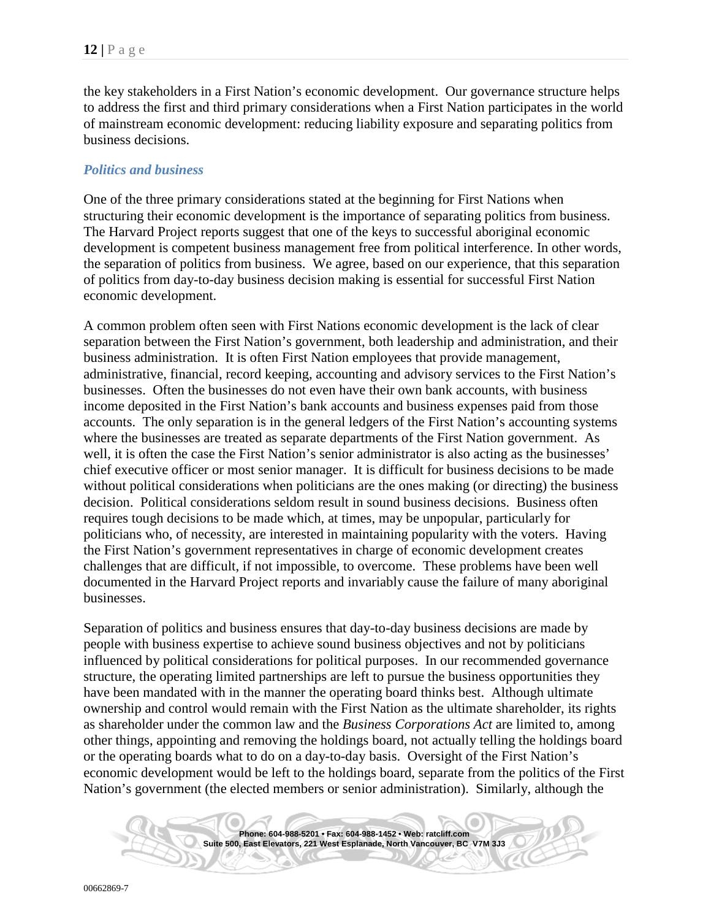the key stakeholders in a First Nation's economic development. Our governance structure helps to address the first and third primary considerations when a First Nation participates in the world of mainstream economic development: reducing liability exposure and separating politics from business decisions.

#### <span id="page-11-0"></span>*Politics and business*

One of the three primary considerations stated at the beginning for First Nations when structuring their economic development is the importance of separating politics from business. The Harvard Project reports suggest that one of the keys to successful aboriginal economic development is competent business management free from political interference. In other words, the separation of politics from business. We agree, based on our experience, that this separation of politics from day-to-day business decision making is essential for successful First Nation economic development.

A common problem often seen with First Nations economic development is the lack of clear separation between the First Nation's government, both leadership and administration, and their business administration. It is often First Nation employees that provide management, administrative, financial, record keeping, accounting and advisory services to the First Nation's businesses. Often the businesses do not even have their own bank accounts, with business income deposited in the First Nation's bank accounts and business expenses paid from those accounts. The only separation is in the general ledgers of the First Nation's accounting systems where the businesses are treated as separate departments of the First Nation government. As well, it is often the case the First Nation's senior administrator is also acting as the businesses' chief executive officer or most senior manager. It is difficult for business decisions to be made without political considerations when politicians are the ones making (or directing) the business decision. Political considerations seldom result in sound business decisions. Business often requires tough decisions to be made which, at times, may be unpopular, particularly for politicians who, of necessity, are interested in maintaining popularity with the voters. Having the First Nation's government representatives in charge of economic development creates challenges that are difficult, if not impossible, to overcome. These problems have been well documented in the Harvard Project reports and invariably cause the failure of many aboriginal businesses.

Separation of politics and business ensures that day-to-day business decisions are made by people with business expertise to achieve sound business objectives and not by politicians influenced by political considerations for political purposes. In our recommended governance structure, the operating limited partnerships are left to pursue the business opportunities they have been mandated with in the manner the operating board thinks best. Although ultimate ownership and control would remain with the First Nation as the ultimate shareholder, its rights as shareholder under the common law and the *Business Corporations Act* are limited to, among other things, appointing and removing the holdings board, not actually telling the holdings board or the operating boards what to do on a day-to-day basis. Oversight of the First Nation's economic development would be left to the holdings board, separate from the politics of the First Nation's government (the elected members or senior administration). Similarly, although the

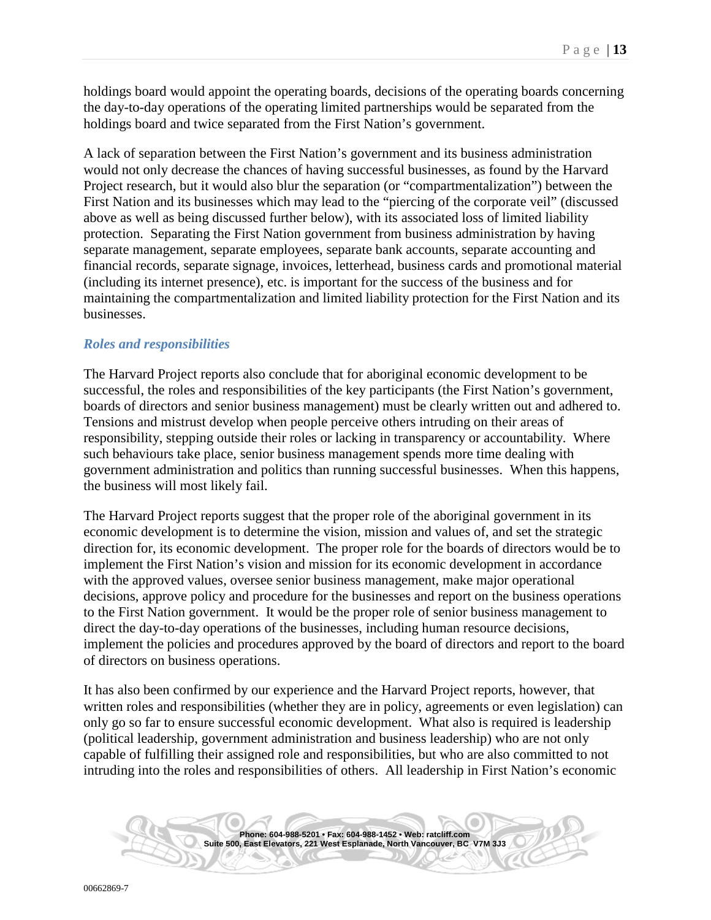holdings board would appoint the operating boards, decisions of the operating boards concerning the day-to-day operations of the operating limited partnerships would be separated from the holdings board and twice separated from the First Nation's government.

A lack of separation between the First Nation's government and its business administration would not only decrease the chances of having successful businesses, as found by the Harvard Project research, but it would also blur the separation (or "compartmentalization") between the First Nation and its businesses which may lead to the "piercing of the corporate veil" (discussed above as well as being discussed further below), with its associated loss of limited liability protection. Separating the First Nation government from business administration by having separate management, separate employees, separate bank accounts, separate accounting and financial records, separate signage, invoices, letterhead, business cards and promotional material (including its internet presence), etc. is important for the success of the business and for maintaining the compartmentalization and limited liability protection for the First Nation and its businesses.

#### <span id="page-12-0"></span>*Roles and responsibilities*

The Harvard Project reports also conclude that for aboriginal economic development to be successful, the roles and responsibilities of the key participants (the First Nation's government, boards of directors and senior business management) must be clearly written out and adhered to. Tensions and mistrust develop when people perceive others intruding on their areas of responsibility, stepping outside their roles or lacking in transparency or accountability. Where such behaviours take place, senior business management spends more time dealing with government administration and politics than running successful businesses. When this happens, the business will most likely fail.

The Harvard Project reports suggest that the proper role of the aboriginal government in its economic development is to determine the vision, mission and values of, and set the strategic direction for, its economic development. The proper role for the boards of directors would be to implement the First Nation's vision and mission for its economic development in accordance with the approved values, oversee senior business management, make major operational decisions, approve policy and procedure for the businesses and report on the business operations to the First Nation government. It would be the proper role of senior business management to direct the day-to-day operations of the businesses, including human resource decisions, implement the policies and procedures approved by the board of directors and report to the board of directors on business operations.

It has also been confirmed by our experience and the Harvard Project reports, however, that written roles and responsibilities (whether they are in policy, agreements or even legislation) can only go so far to ensure successful economic development. What also is required is leadership (political leadership, government administration and business leadership) who are not only capable of fulfilling their assigned role and responsibilities, but who are also committed to not intruding into the roles and responsibilities of others. All leadership in First Nation's economic

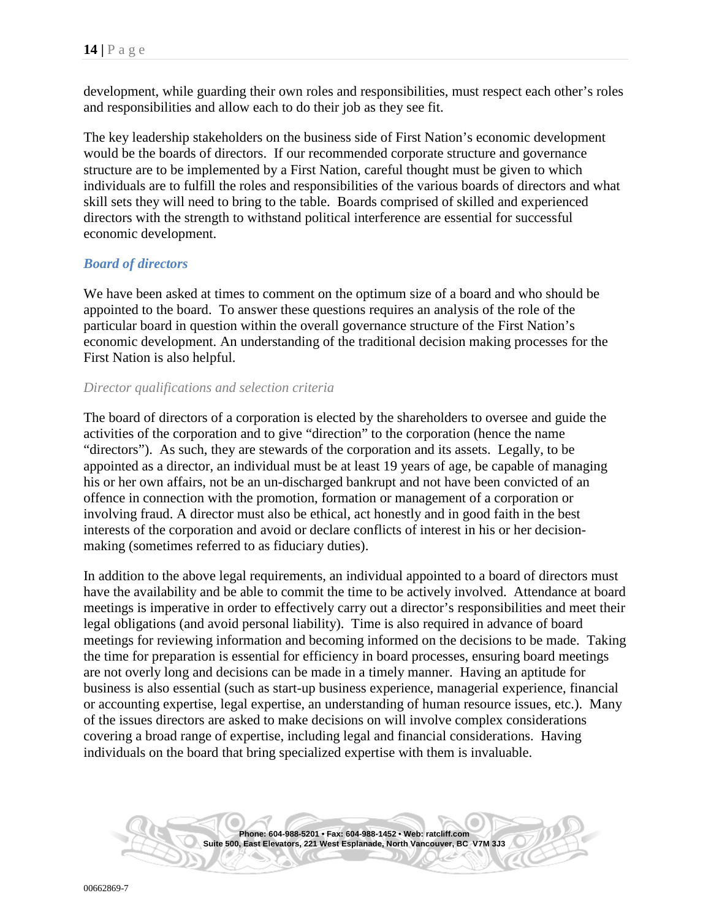development, while guarding their own roles and responsibilities, must respect each other's roles and responsibilities and allow each to do their job as they see fit.

The key leadership stakeholders on the business side of First Nation's economic development would be the boards of directors. If our recommended corporate structure and governance structure are to be implemented by a First Nation, careful thought must be given to which individuals are to fulfill the roles and responsibilities of the various boards of directors and what skill sets they will need to bring to the table. Boards comprised of skilled and experienced directors with the strength to withstand political interference are essential for successful economic development.

## <span id="page-13-0"></span>*Board of directors*

We have been asked at times to comment on the optimum size of a board and who should be appointed to the board. To answer these questions requires an analysis of the role of the particular board in question within the overall governance structure of the First Nation's economic development. An understanding of the traditional decision making processes for the First Nation is also helpful.

#### <span id="page-13-1"></span>*Director qualifications and selection criteria*

The board of directors of a corporation is elected by the shareholders to oversee and guide the activities of the corporation and to give "direction" to the corporation (hence the name "directors"). As such, they are stewards of the corporation and its assets. Legally, to be appointed as a director, an individual must be at least 19 years of age, be capable of managing his or her own affairs, not be an un-discharged bankrupt and not have been convicted of an offence in connection with the promotion, formation or management of a corporation or involving fraud. A director must also be ethical, act honestly and in good faith in the best interests of the corporation and avoid or declare conflicts of interest in his or her decisionmaking (sometimes referred to as fiduciary duties).

In addition to the above legal requirements, an individual appointed to a board of directors must have the availability and be able to commit the time to be actively involved. Attendance at board meetings is imperative in order to effectively carry out a director's responsibilities and meet their legal obligations (and avoid personal liability). Time is also required in advance of board meetings for reviewing information and becoming informed on the decisions to be made. Taking the time for preparation is essential for efficiency in board processes, ensuring board meetings are not overly long and decisions can be made in a timely manner. Having an aptitude for business is also essential (such as start-up business experience, managerial experience, financial or accounting expertise, legal expertise, an understanding of human resource issues, etc.). Many of the issues directors are asked to make decisions on will involve complex considerations covering a broad range of expertise, including legal and financial considerations. Having individuals on the board that bring specialized expertise with them is invaluable.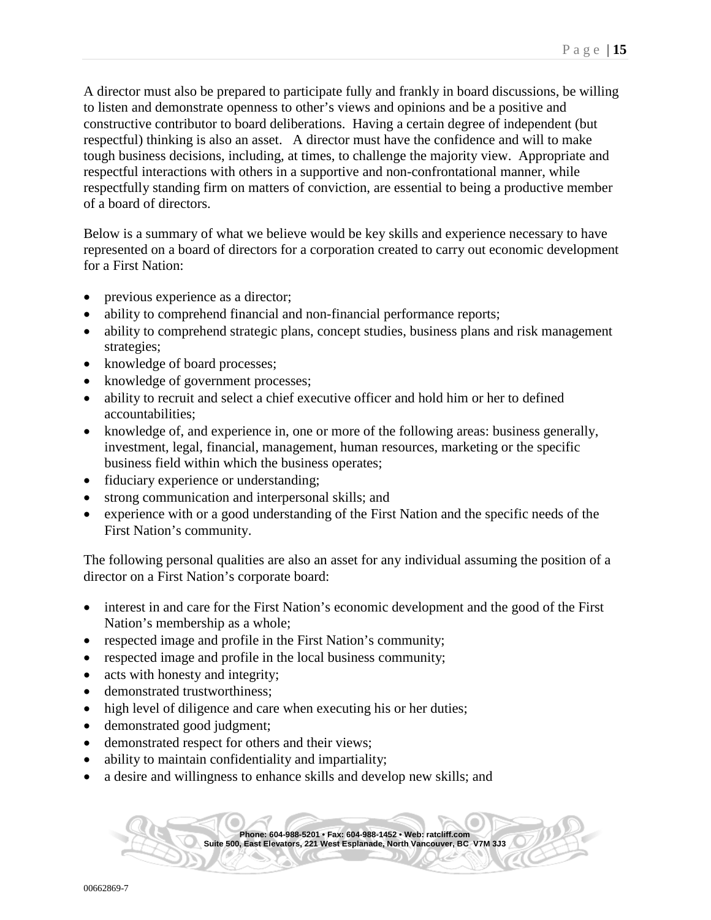A director must also be prepared to participate fully and frankly in board discussions, be willing to listen and demonstrate openness to other's views and opinions and be a positive and constructive contributor to board deliberations. Having a certain degree of independent (but respectful) thinking is also an asset. A director must have the confidence and will to make tough business decisions, including, at times, to challenge the majority view. Appropriate and respectful interactions with others in a supportive and non-confrontational manner, while respectfully standing firm on matters of conviction, are essential to being a productive member of a board of directors.

Below is a summary of what we believe would be key skills and experience necessary to have represented on a board of directors for a corporation created to carry out economic development for a First Nation:

- previous experience as a director;
- ability to comprehend financial and non-financial performance reports;
- ability to comprehend strategic plans, concept studies, business plans and risk management strategies;
- knowledge of board processes;
- knowledge of government processes;
- ability to recruit and select a chief executive officer and hold him or her to defined accountabilities;
- knowledge of, and experience in, one or more of the following areas: business generally, investment, legal, financial, management, human resources, marketing or the specific business field within which the business operates;
- fiduciary experience or understanding;
- strong communication and interpersonal skills; and
- experience with or a good understanding of the First Nation and the specific needs of the First Nation's community.

The following personal qualities are also an asset for any individual assuming the position of a director on a First Nation's corporate board:

- interest in and care for the First Nation's economic development and the good of the First Nation's membership as a whole;
- respected image and profile in the First Nation's community;
- respected image and profile in the local business community;
- acts with honesty and integrity;
- demonstrated trustworthiness:
- high level of diligence and care when executing his or her duties;
- demonstrated good judgment;
- demonstrated respect for others and their views;
- ability to maintain confidentiality and impartiality;
- a desire and willingness to enhance skills and develop new skills; and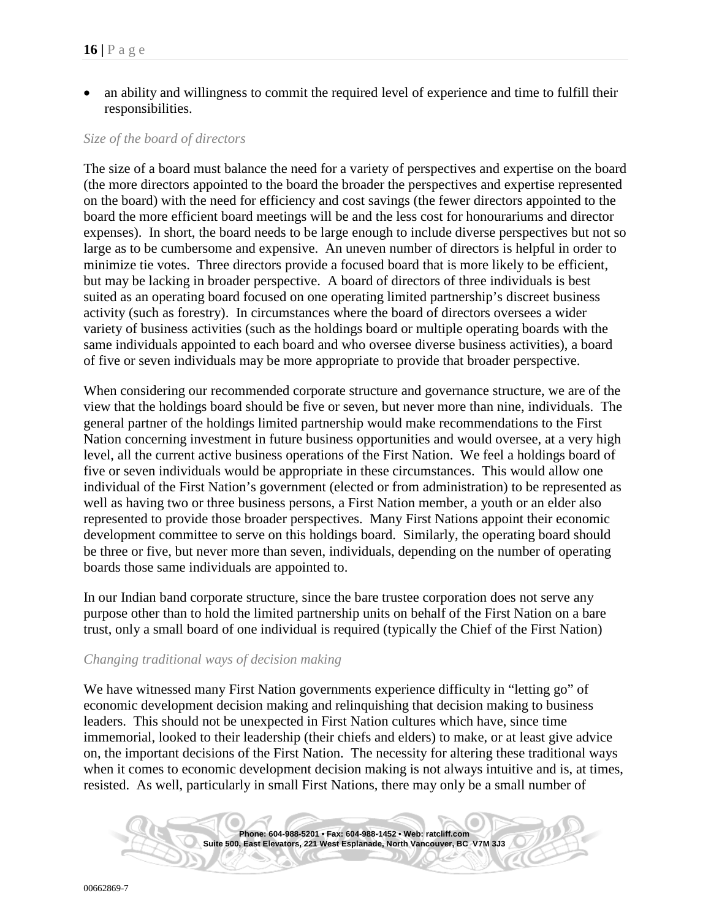• an ability and willingness to commit the required level of experience and time to fulfill their responsibilities.

#### <span id="page-15-0"></span>*Size of the board of directors*

The size of a board must balance the need for a variety of perspectives and expertise on the board (the more directors appointed to the board the broader the perspectives and expertise represented on the board) with the need for efficiency and cost savings (the fewer directors appointed to the board the more efficient board meetings will be and the less cost for honourariums and director expenses). In short, the board needs to be large enough to include diverse perspectives but not so large as to be cumbersome and expensive. An uneven number of directors is helpful in order to minimize tie votes. Three directors provide a focused board that is more likely to be efficient, but may be lacking in broader perspective. A board of directors of three individuals is best suited as an operating board focused on one operating limited partnership's discreet business activity (such as forestry). In circumstances where the board of directors oversees a wider variety of business activities (such as the holdings board or multiple operating boards with the same individuals appointed to each board and who oversee diverse business activities), a board of five or seven individuals may be more appropriate to provide that broader perspective.

When considering our recommended corporate structure and governance structure, we are of the view that the holdings board should be five or seven, but never more than nine, individuals. The general partner of the holdings limited partnership would make recommendations to the First Nation concerning investment in future business opportunities and would oversee, at a very high level, all the current active business operations of the First Nation. We feel a holdings board of five or seven individuals would be appropriate in these circumstances. This would allow one individual of the First Nation's government (elected or from administration) to be represented as well as having two or three business persons, a First Nation member, a youth or an elder also represented to provide those broader perspectives. Many First Nations appoint their economic development committee to serve on this holdings board. Similarly, the operating board should be three or five, but never more than seven, individuals, depending on the number of operating boards those same individuals are appointed to.

In our Indian band corporate structure, since the bare trustee corporation does not serve any purpose other than to hold the limited partnership units on behalf of the First Nation on a bare trust, only a small board of one individual is required (typically the Chief of the First Nation)

#### <span id="page-15-1"></span>*Changing traditional ways of decision making*

We have witnessed many First Nation governments experience difficulty in "letting go" of economic development decision making and relinquishing that decision making to business leaders. This should not be unexpected in First Nation cultures which have, since time immemorial, looked to their leadership (their chiefs and elders) to make, or at least give advice on, the important decisions of the First Nation. The necessity for altering these traditional ways when it comes to economic development decision making is not always intuitive and is, at times, resisted. As well, particularly in small First Nations, there may only be a small number of

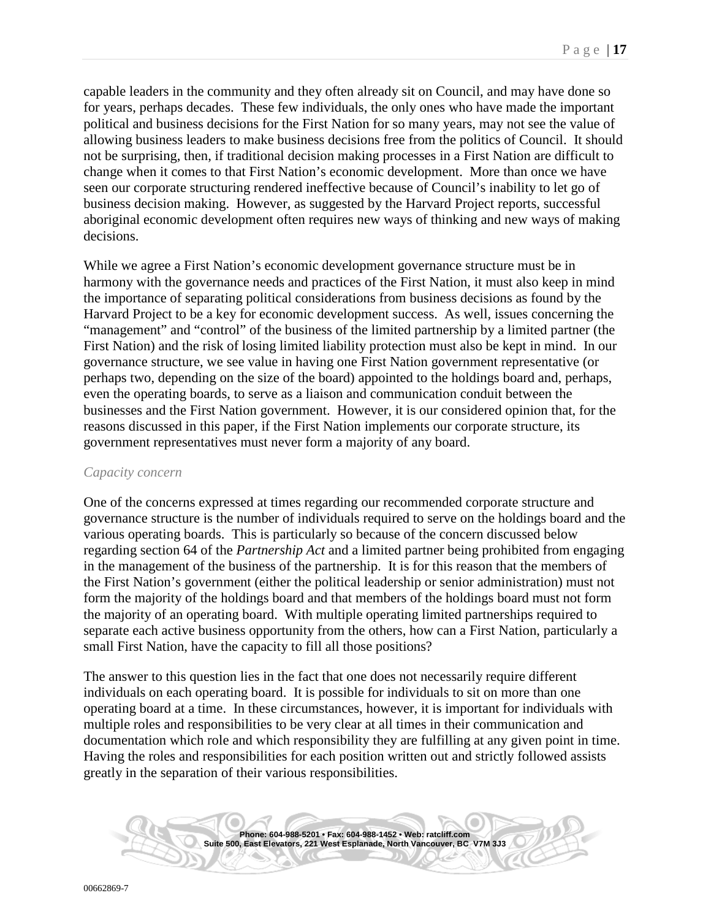capable leaders in the community and they often already sit on Council, and may have done so for years, perhaps decades. These few individuals, the only ones who have made the important political and business decisions for the First Nation for so many years, may not see the value of allowing business leaders to make business decisions free from the politics of Council. It should not be surprising, then, if traditional decision making processes in a First Nation are difficult to change when it comes to that First Nation's economic development. More than once we have seen our corporate structuring rendered ineffective because of Council's inability to let go of business decision making. However, as suggested by the Harvard Project reports, successful aboriginal economic development often requires new ways of thinking and new ways of making decisions.

While we agree a First Nation's economic development governance structure must be in harmony with the governance needs and practices of the First Nation, it must also keep in mind the importance of separating political considerations from business decisions as found by the Harvard Project to be a key for economic development success. As well, issues concerning the "management" and "control" of the business of the limited partnership by a limited partner (the First Nation) and the risk of losing limited liability protection must also be kept in mind. In our governance structure, we see value in having one First Nation government representative (or perhaps two, depending on the size of the board) appointed to the holdings board and, perhaps, even the operating boards, to serve as a liaison and communication conduit between the businesses and the First Nation government. However, it is our considered opinion that, for the reasons discussed in this paper, if the First Nation implements our corporate structure, its government representatives must never form a majority of any board.

#### <span id="page-16-0"></span>*Capacity concern*

One of the concerns expressed at times regarding our recommended corporate structure and governance structure is the number of individuals required to serve on the holdings board and the various operating boards. This is particularly so because of the concern discussed below regarding section 64 of the *Partnership Act* and a limited partner being prohibited from engaging in the management of the business of the partnership. It is for this reason that the members of the First Nation's government (either the political leadership or senior administration) must not form the majority of the holdings board and that members of the holdings board must not form the majority of an operating board. With multiple operating limited partnerships required to separate each active business opportunity from the others, how can a First Nation, particularly a small First Nation, have the capacity to fill all those positions?

The answer to this question lies in the fact that one does not necessarily require different individuals on each operating board. It is possible for individuals to sit on more than one operating board at a time. In these circumstances, however, it is important for individuals with multiple roles and responsibilities to be very clear at all times in their communication and documentation which role and which responsibility they are fulfilling at any given point in time. Having the roles and responsibilities for each position written out and strictly followed assists greatly in the separation of their various responsibilities.

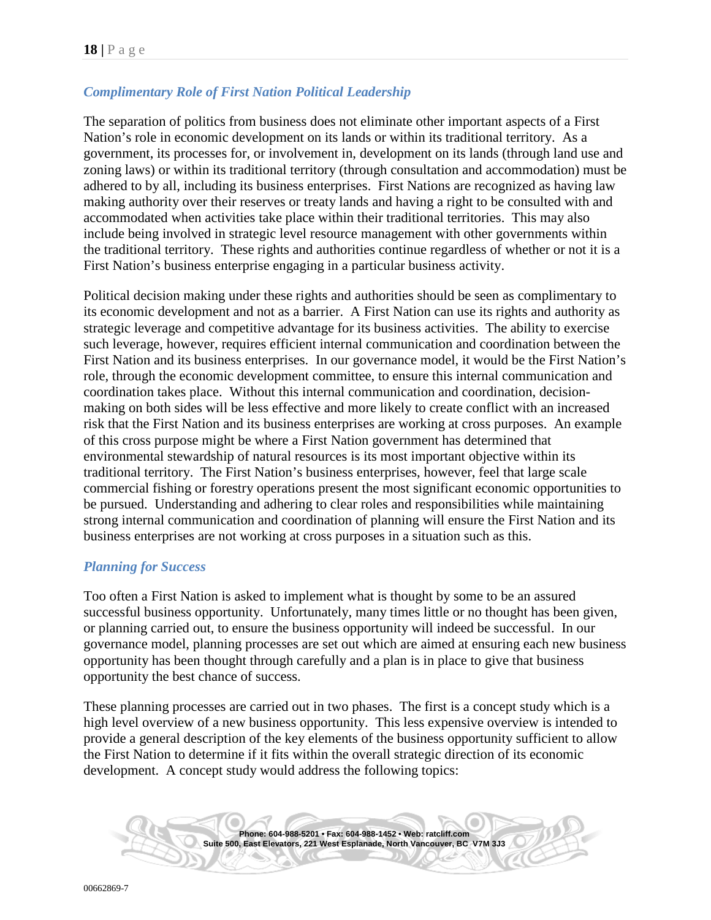## <span id="page-17-0"></span>*Complimentary Role of First Nation Political Leadership*

The separation of politics from business does not eliminate other important aspects of a First Nation's role in economic development on its lands or within its traditional territory. As a government, its processes for, or involvement in, development on its lands (through land use and zoning laws) or within its traditional territory (through consultation and accommodation) must be adhered to by all, including its business enterprises. First Nations are recognized as having law making authority over their reserves or treaty lands and having a right to be consulted with and accommodated when activities take place within their traditional territories. This may also include being involved in strategic level resource management with other governments within the traditional territory. These rights and authorities continue regardless of whether or not it is a First Nation's business enterprise engaging in a particular business activity.

Political decision making under these rights and authorities should be seen as complimentary to its economic development and not as a barrier. A First Nation can use its rights and authority as strategic leverage and competitive advantage for its business activities. The ability to exercise such leverage, however, requires efficient internal communication and coordination between the First Nation and its business enterprises. In our governance model, it would be the First Nation's role, through the economic development committee, to ensure this internal communication and coordination takes place. Without this internal communication and coordination, decisionmaking on both sides will be less effective and more likely to create conflict with an increased risk that the First Nation and its business enterprises are working at cross purposes. An example of this cross purpose might be where a First Nation government has determined that environmental stewardship of natural resources is its most important objective within its traditional territory. The First Nation's business enterprises, however, feel that large scale commercial fishing or forestry operations present the most significant economic opportunities to be pursued. Understanding and adhering to clear roles and responsibilities while maintaining strong internal communication and coordination of planning will ensure the First Nation and its business enterprises are not working at cross purposes in a situation such as this.

#### <span id="page-17-1"></span>*Planning for Success*

Too often a First Nation is asked to implement what is thought by some to be an assured successful business opportunity. Unfortunately, many times little or no thought has been given, or planning carried out, to ensure the business opportunity will indeed be successful. In our governance model, planning processes are set out which are aimed at ensuring each new business opportunity has been thought through carefully and a plan is in place to give that business opportunity the best chance of success.

These planning processes are carried out in two phases. The first is a concept study which is a high level overview of a new business opportunity. This less expensive overview is intended to provide a general description of the key elements of the business opportunity sufficient to allow the First Nation to determine if it fits within the overall strategic direction of its economic development. A concept study would address the following topics:

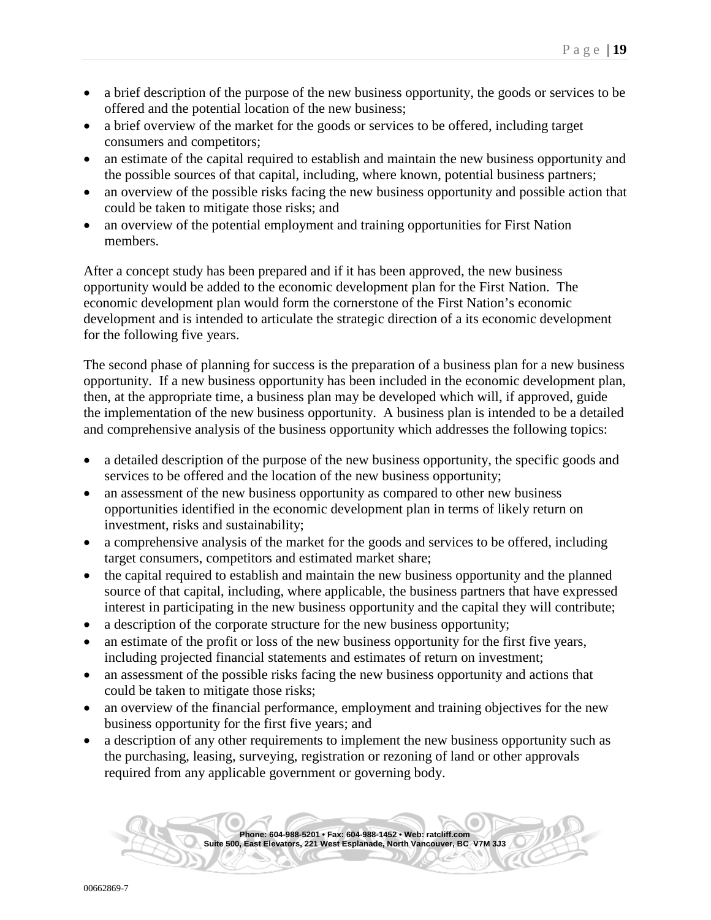- a brief description of the purpose of the new business opportunity, the goods or services to be offered and the potential location of the new business;
- a brief overview of the market for the goods or services to be offered, including target consumers and competitors;
- an estimate of the capital required to establish and maintain the new business opportunity and the possible sources of that capital, including, where known, potential business partners;
- an overview of the possible risks facing the new business opportunity and possible action that could be taken to mitigate those risks; and
- an overview of the potential employment and training opportunities for First Nation members.

After a concept study has been prepared and if it has been approved, the new business opportunity would be added to the economic development plan for the First Nation. The economic development plan would form the cornerstone of the First Nation's economic development and is intended to articulate the strategic direction of a its economic development for the following five years.

The second phase of planning for success is the preparation of a business plan for a new business opportunity. If a new business opportunity has been included in the economic development plan, then, at the appropriate time, a business plan may be developed which will, if approved, guide the implementation of the new business opportunity. A business plan is intended to be a detailed and comprehensive analysis of the business opportunity which addresses the following topics:

- a detailed description of the purpose of the new business opportunity, the specific goods and services to be offered and the location of the new business opportunity;
- an assessment of the new business opportunity as compared to other new business opportunities identified in the economic development plan in terms of likely return on investment, risks and sustainability;
- a comprehensive analysis of the market for the goods and services to be offered, including target consumers, competitors and estimated market share;
- the capital required to establish and maintain the new business opportunity and the planned source of that capital, including, where applicable, the business partners that have expressed interest in participating in the new business opportunity and the capital they will contribute;
- a description of the corporate structure for the new business opportunity;
- an estimate of the profit or loss of the new business opportunity for the first five years, including projected financial statements and estimates of return on investment;
- an assessment of the possible risks facing the new business opportunity and actions that could be taken to mitigate those risks;
- an overview of the financial performance, employment and training objectives for the new business opportunity for the first five years; and
- a description of any other requirements to implement the new business opportunity such as the purchasing, leasing, surveying, registration or rezoning of land or other approvals required from any applicable government or governing body.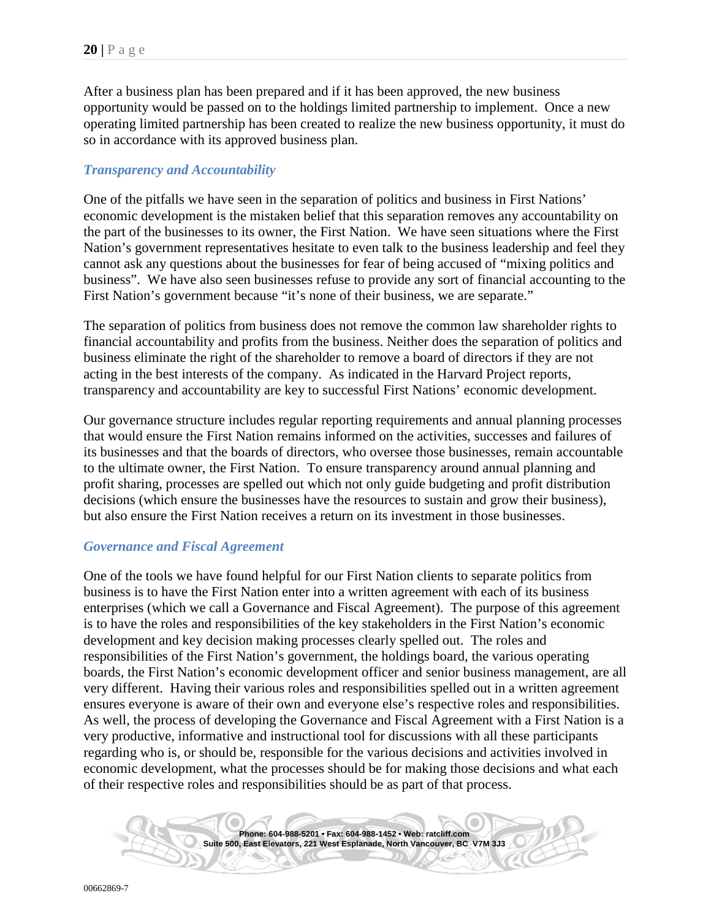After a business plan has been prepared and if it has been approved, the new business opportunity would be passed on to the holdings limited partnership to implement. Once a new operating limited partnership has been created to realize the new business opportunity, it must do so in accordance with its approved business plan.

#### <span id="page-19-0"></span>*Transparency and Accountability*

One of the pitfalls we have seen in the separation of politics and business in First Nations' economic development is the mistaken belief that this separation removes any accountability on the part of the businesses to its owner, the First Nation. We have seen situations where the First Nation's government representatives hesitate to even talk to the business leadership and feel they cannot ask any questions about the businesses for fear of being accused of "mixing politics and business". We have also seen businesses refuse to provide any sort of financial accounting to the First Nation's government because "it's none of their business, we are separate."

The separation of politics from business does not remove the common law shareholder rights to financial accountability and profits from the business. Neither does the separation of politics and business eliminate the right of the shareholder to remove a board of directors if they are not acting in the best interests of the company. As indicated in the Harvard Project reports, transparency and accountability are key to successful First Nations' economic development.

Our governance structure includes regular reporting requirements and annual planning processes that would ensure the First Nation remains informed on the activities, successes and failures of its businesses and that the boards of directors, who oversee those businesses, remain accountable to the ultimate owner, the First Nation. To ensure transparency around annual planning and profit sharing, processes are spelled out which not only guide budgeting and profit distribution decisions (which ensure the businesses have the resources to sustain and grow their business), but also ensure the First Nation receives a return on its investment in those businesses.

#### <span id="page-19-1"></span>*Governance and Fiscal Agreement*

One of the tools we have found helpful for our First Nation clients to separate politics from business is to have the First Nation enter into a written agreement with each of its business enterprises (which we call a Governance and Fiscal Agreement). The purpose of this agreement is to have the roles and responsibilities of the key stakeholders in the First Nation's economic development and key decision making processes clearly spelled out. The roles and responsibilities of the First Nation's government, the holdings board, the various operating boards, the First Nation's economic development officer and senior business management, are all very different. Having their various roles and responsibilities spelled out in a written agreement ensures everyone is aware of their own and everyone else's respective roles and responsibilities. As well, the process of developing the Governance and Fiscal Agreement with a First Nation is a very productive, informative and instructional tool for discussions with all these participants regarding who is, or should be, responsible for the various decisions and activities involved in economic development, what the processes should be for making those decisions and what each of their respective roles and responsibilities should be as part of that process.

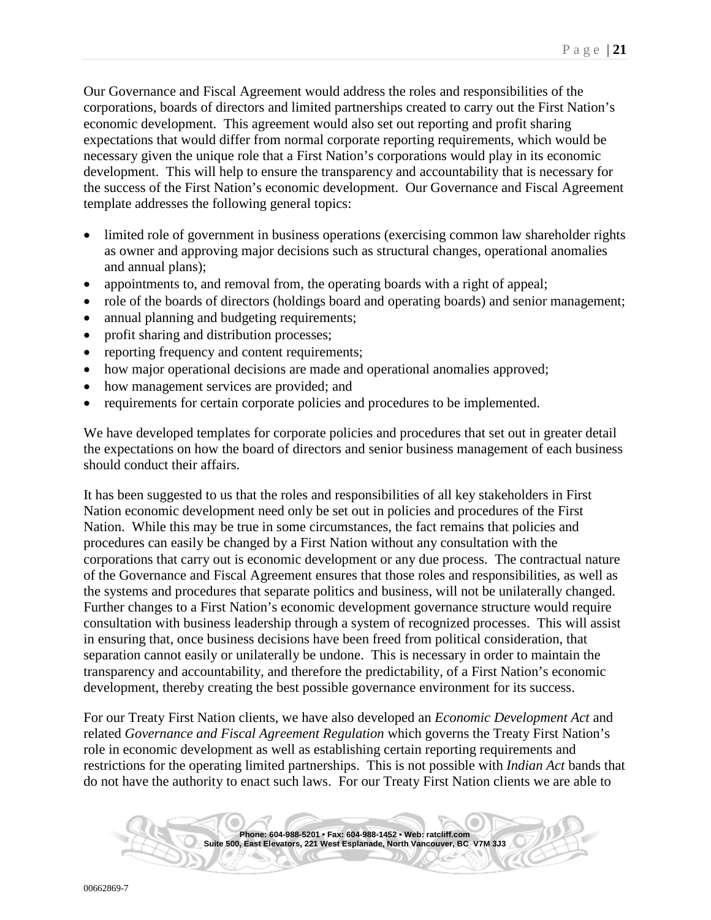Our Governance and Fiscal Agreement would address the roles and responsibilities of the corporations, boards of directors and limited partnerships created to carry out the First Nation's economic development. This agreement would also set out reporting and profit sharing expectations that would differ from normal corporate reporting requirements, which would be necessary given the unique role that a First Nation's corporations would play in its economic development. This will help to ensure the transparency and accountability that is necessary for the success of the First Nation's economic development. Our Governance and Fiscal Agreement template addresses the following general topics:

- limited role of government in business operations (exercising common law shareholder rights as owner and approving major decisions such as structural changes, operational anomalies and annual plans);
- appointments to, and removal from, the operating boards with a right of appeal;
- role of the boards of directors (holdings board and operating boards) and senior management;
- annual planning and budgeting requirements;
- profit sharing and distribution processes;
- reporting frequency and content requirements;
- how major operational decisions are made and operational anomalies approved;
- how management services are provided; and
- requirements for certain corporate policies and procedures to be implemented.

We have developed templates for corporate policies and procedures that set out in greater detail the expectations on how the board of directors and senior business management of each business should conduct their affairs.

It has been suggested to us that the roles and responsibilities of all key stakeholders in First Nation economic development need only be set out in policies and procedures of the First Nation. While this may be true in some circumstances, the fact remains that policies and procedures can easily be changed by a First Nation without any consultation with the corporations that carry out is economic development or any due process. The contractual nature of the Governance and Fiscal Agreement ensures that those roles and responsibilities, as well as the systems and procedures that separate politics and business, will not be unilaterally changed. Further changes to a First Nation's economic development governance structure would require consultation with business leadership through a system of recognized processes. This will assist in ensuring that, once business decisions have been freed from political consideration, that separation cannot easily or unilaterally be undone. This is necessary in order to maintain the transparency and accountability, and therefore the predictability, of a First Nation's economic development, thereby creating the best possible governance environment for its success.

For our Treaty First Nation clients, we have also developed an *Economic Development Act* and related *Governance and Fiscal Agreement Regulation* which governs the Treaty First Nation's role in economic development as well as establishing certain reporting requirements and restrictions for the operating limited partnerships. This is not possible with *Indian Act* bands that do not have the authority to enact such laws. For our Treaty First Nation clients we are able to

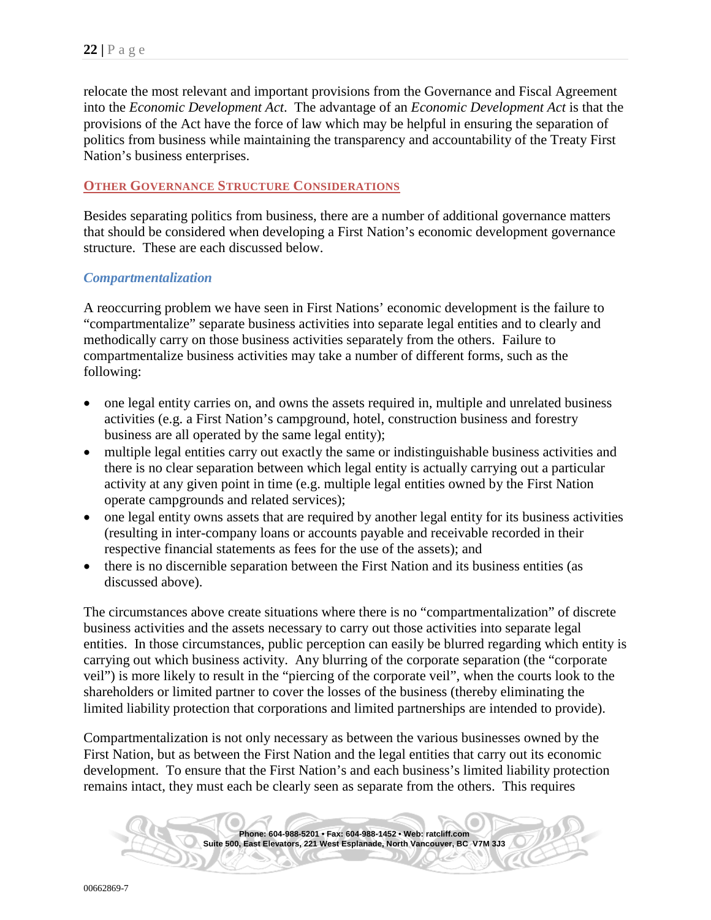relocate the most relevant and important provisions from the Governance and Fiscal Agreement into the *Economic Development Act*. The advantage of an *Economic Development Act* is that the provisions of the Act have the force of law which may be helpful in ensuring the separation of politics from business while maintaining the transparency and accountability of the Treaty First Nation's business enterprises.

## <span id="page-21-0"></span>**OTHER GOVERNANCE STRUCTURE CONSIDERATIONS**

Besides separating politics from business, there are a number of additional governance matters that should be considered when developing a First Nation's economic development governance structure. These are each discussed below.

#### <span id="page-21-1"></span>*Compartmentalization*

A reoccurring problem we have seen in First Nations' economic development is the failure to "compartmentalize" separate business activities into separate legal entities and to clearly and methodically carry on those business activities separately from the others. Failure to compartmentalize business activities may take a number of different forms, such as the following:

- one legal entity carries on, and owns the assets required in, multiple and unrelated business activities (e.g. a First Nation's campground, hotel, construction business and forestry business are all operated by the same legal entity);
- multiple legal entities carry out exactly the same or indistinguishable business activities and there is no clear separation between which legal entity is actually carrying out a particular activity at any given point in time (e.g. multiple legal entities owned by the First Nation operate campgrounds and related services);
- one legal entity owns assets that are required by another legal entity for its business activities (resulting in inter-company loans or accounts payable and receivable recorded in their respective financial statements as fees for the use of the assets); and
- there is no discernible separation between the First Nation and its business entities (as discussed above).

The circumstances above create situations where there is no "compartmentalization" of discrete business activities and the assets necessary to carry out those activities into separate legal entities. In those circumstances, public perception can easily be blurred regarding which entity is carrying out which business activity. Any blurring of the corporate separation (the "corporate veil") is more likely to result in the "piercing of the corporate veil", when the courts look to the shareholders or limited partner to cover the losses of the business (thereby eliminating the limited liability protection that corporations and limited partnerships are intended to provide).

Compartmentalization is not only necessary as between the various businesses owned by the First Nation, but as between the First Nation and the legal entities that carry out its economic development. To ensure that the First Nation's and each business's limited liability protection remains intact, they must each be clearly seen as separate from the others. This requires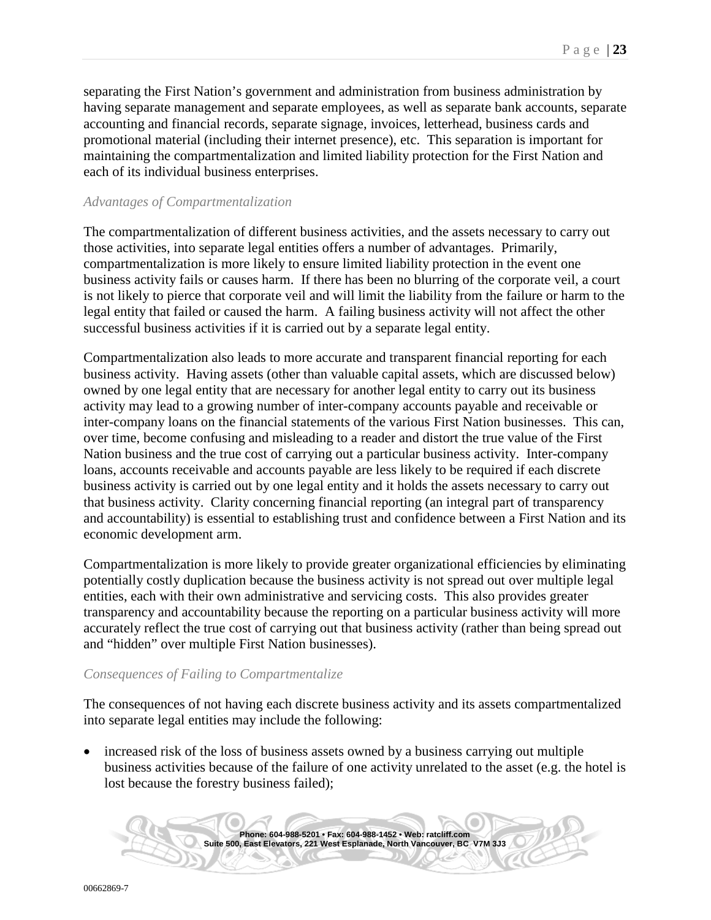separating the First Nation's government and administration from business administration by having separate management and separate employees, as well as separate bank accounts, separate accounting and financial records, separate signage, invoices, letterhead, business cards and promotional material (including their internet presence), etc. This separation is important for maintaining the compartmentalization and limited liability protection for the First Nation and each of its individual business enterprises.

#### <span id="page-22-0"></span>*Advantages of Compartmentalization*

The compartmentalization of different business activities, and the assets necessary to carry out those activities, into separate legal entities offers a number of advantages. Primarily, compartmentalization is more likely to ensure limited liability protection in the event one business activity fails or causes harm. If there has been no blurring of the corporate veil, a court is not likely to pierce that corporate veil and will limit the liability from the failure or harm to the legal entity that failed or caused the harm. A failing business activity will not affect the other successful business activities if it is carried out by a separate legal entity.

Compartmentalization also leads to more accurate and transparent financial reporting for each business activity. Having assets (other than valuable capital assets, which are discussed below) owned by one legal entity that are necessary for another legal entity to carry out its business activity may lead to a growing number of inter-company accounts payable and receivable or inter-company loans on the financial statements of the various First Nation businesses. This can, over time, become confusing and misleading to a reader and distort the true value of the First Nation business and the true cost of carrying out a particular business activity. Inter-company loans, accounts receivable and accounts payable are less likely to be required if each discrete business activity is carried out by one legal entity and it holds the assets necessary to carry out that business activity. Clarity concerning financial reporting (an integral part of transparency and accountability) is essential to establishing trust and confidence between a First Nation and its economic development arm.

Compartmentalization is more likely to provide greater organizational efficiencies by eliminating potentially costly duplication because the business activity is not spread out over multiple legal entities, each with their own administrative and servicing costs. This also provides greater transparency and accountability because the reporting on a particular business activity will more accurately reflect the true cost of carrying out that business activity (rather than being spread out and "hidden" over multiple First Nation businesses).

#### <span id="page-22-1"></span>*Consequences of Failing to Compartmentalize*

The consequences of not having each discrete business activity and its assets compartmentalized into separate legal entities may include the following:

• increased risk of the loss of business assets owned by a business carrying out multiple business activities because of the failure of one activity unrelated to the asset (e.g. the hotel is lost because the forestry business failed);

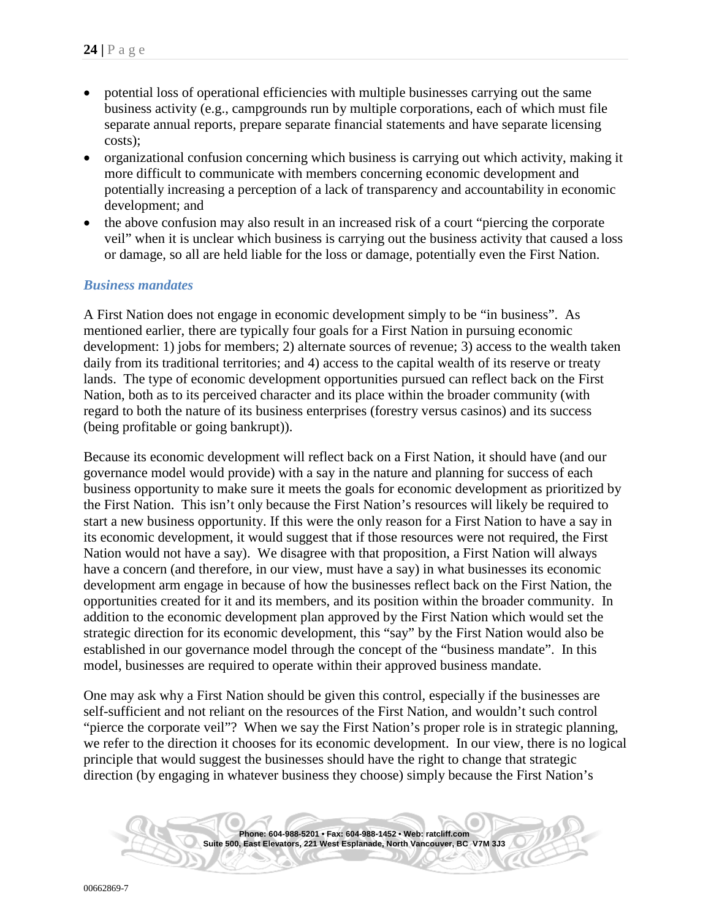- potential loss of operational efficiencies with multiple businesses carrying out the same business activity (e.g., campgrounds run by multiple corporations, each of which must file separate annual reports, prepare separate financial statements and have separate licensing costs);
- organizational confusion concerning which business is carrying out which activity, making it more difficult to communicate with members concerning economic development and potentially increasing a perception of a lack of transparency and accountability in economic development; and
- the above confusion may also result in an increased risk of a court "piercing the corporate veil" when it is unclear which business is carrying out the business activity that caused a loss or damage, so all are held liable for the loss or damage, potentially even the First Nation.

#### <span id="page-23-0"></span>*Business mandates*

A First Nation does not engage in economic development simply to be "in business". As mentioned earlier, there are typically four goals for a First Nation in pursuing economic development: 1) jobs for members; 2) alternate sources of revenue; 3) access to the wealth taken daily from its traditional territories; and 4) access to the capital wealth of its reserve or treaty lands. The type of economic development opportunities pursued can reflect back on the First Nation, both as to its perceived character and its place within the broader community (with regard to both the nature of its business enterprises (forestry versus casinos) and its success (being profitable or going bankrupt)).

Because its economic development will reflect back on a First Nation, it should have (and our governance model would provide) with a say in the nature and planning for success of each business opportunity to make sure it meets the goals for economic development as prioritized by the First Nation. This isn't only because the First Nation's resources will likely be required to start a new business opportunity. If this were the only reason for a First Nation to have a say in its economic development, it would suggest that if those resources were not required, the First Nation would not have a say). We disagree with that proposition, a First Nation will always have a concern (and therefore, in our view, must have a say) in what businesses its economic development arm engage in because of how the businesses reflect back on the First Nation, the opportunities created for it and its members, and its position within the broader community. In addition to the economic development plan approved by the First Nation which would set the strategic direction for its economic development, this "say" by the First Nation would also be established in our governance model through the concept of the "business mandate". In this model, businesses are required to operate within their approved business mandate.

One may ask why a First Nation should be given this control, especially if the businesses are self-sufficient and not reliant on the resources of the First Nation, and wouldn't such control "pierce the corporate veil"? When we say the First Nation's proper role is in strategic planning, we refer to the direction it chooses for its economic development. In our view, there is no logical principle that would suggest the businesses should have the right to change that strategic direction (by engaging in whatever business they choose) simply because the First Nation's

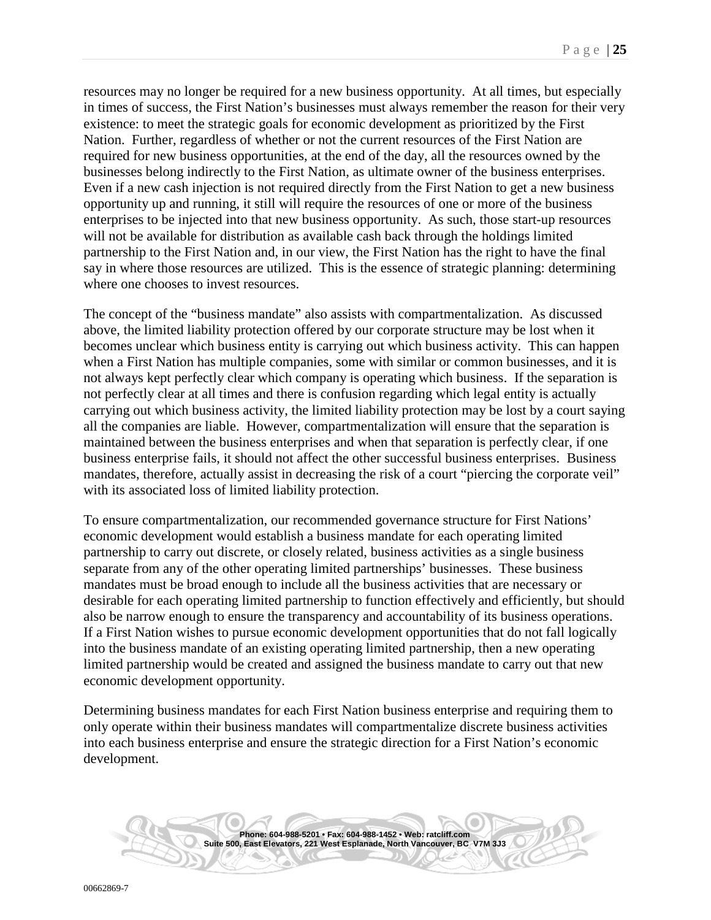resources may no longer be required for a new business opportunity. At all times, but especially in times of success, the First Nation's businesses must always remember the reason for their very existence: to meet the strategic goals for economic development as prioritized by the First Nation. Further, regardless of whether or not the current resources of the First Nation are required for new business opportunities, at the end of the day, all the resources owned by the businesses belong indirectly to the First Nation, as ultimate owner of the business enterprises. Even if a new cash injection is not required directly from the First Nation to get a new business opportunity up and running, it still will require the resources of one or more of the business enterprises to be injected into that new business opportunity. As such, those start-up resources will not be available for distribution as available cash back through the holdings limited partnership to the First Nation and, in our view, the First Nation has the right to have the final say in where those resources are utilized. This is the essence of strategic planning: determining where one chooses to invest resources.

The concept of the "business mandate" also assists with compartmentalization. As discussed above, the limited liability protection offered by our corporate structure may be lost when it becomes unclear which business entity is carrying out which business activity. This can happen when a First Nation has multiple companies, some with similar or common businesses, and it is not always kept perfectly clear which company is operating which business. If the separation is not perfectly clear at all times and there is confusion regarding which legal entity is actually carrying out which business activity, the limited liability protection may be lost by a court saying all the companies are liable. However, compartmentalization will ensure that the separation is maintained between the business enterprises and when that separation is perfectly clear, if one business enterprise fails, it should not affect the other successful business enterprises. Business mandates, therefore, actually assist in decreasing the risk of a court "piercing the corporate veil" with its associated loss of limited liability protection.

To ensure compartmentalization, our recommended governance structure for First Nations' economic development would establish a business mandate for each operating limited partnership to carry out discrete, or closely related, business activities as a single business separate from any of the other operating limited partnerships' businesses. These business mandates must be broad enough to include all the business activities that are necessary or desirable for each operating limited partnership to function effectively and efficiently, but should also be narrow enough to ensure the transparency and accountability of its business operations. If a First Nation wishes to pursue economic development opportunities that do not fall logically into the business mandate of an existing operating limited partnership, then a new operating limited partnership would be created and assigned the business mandate to carry out that new economic development opportunity.

Determining business mandates for each First Nation business enterprise and requiring them to only operate within their business mandates will compartmentalize discrete business activities into each business enterprise and ensure the strategic direction for a First Nation's economic development.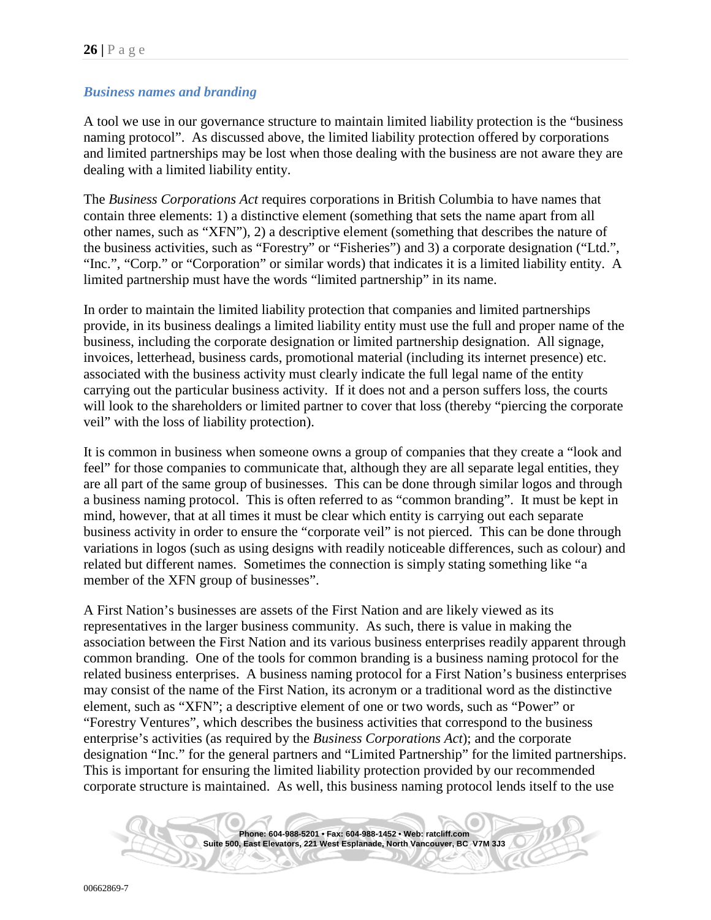## <span id="page-25-0"></span>*Business names and branding*

A tool we use in our governance structure to maintain limited liability protection is the "business naming protocol". As discussed above, the limited liability protection offered by corporations and limited partnerships may be lost when those dealing with the business are not aware they are dealing with a limited liability entity.

The *Business Corporations Act* requires corporations in British Columbia to have names that contain three elements: 1) a distinctive element (something that sets the name apart from all other names, such as "XFN"), 2) a descriptive element (something that describes the nature of the business activities, such as "Forestry" or "Fisheries") and 3) a corporate designation ("Ltd.", "Inc.", "Corp." or "Corporation" or similar words) that indicates it is a limited liability entity. A limited partnership must have the words "limited partnership" in its name.

In order to maintain the limited liability protection that companies and limited partnerships provide, in its business dealings a limited liability entity must use the full and proper name of the business, including the corporate designation or limited partnership designation. All signage, invoices, letterhead, business cards, promotional material (including its internet presence) etc. associated with the business activity must clearly indicate the full legal name of the entity carrying out the particular business activity. If it does not and a person suffers loss, the courts will look to the shareholders or limited partner to cover that loss (thereby "piercing the corporate veil" with the loss of liability protection).

It is common in business when someone owns a group of companies that they create a "look and feel" for those companies to communicate that, although they are all separate legal entities, they are all part of the same group of businesses. This can be done through similar logos and through a business naming protocol. This is often referred to as "common branding". It must be kept in mind, however, that at all times it must be clear which entity is carrying out each separate business activity in order to ensure the "corporate veil" is not pierced. This can be done through variations in logos (such as using designs with readily noticeable differences, such as colour) and related but different names. Sometimes the connection is simply stating something like "a member of the XFN group of businesses".

A First Nation's businesses are assets of the First Nation and are likely viewed as its representatives in the larger business community. As such, there is value in making the association between the First Nation and its various business enterprises readily apparent through common branding. One of the tools for common branding is a business naming protocol for the related business enterprises. A business naming protocol for a First Nation's business enterprises may consist of the name of the First Nation, its acronym or a traditional word as the distinctive element, such as "XFN"; a descriptive element of one or two words, such as "Power" or "Forestry Ventures", which describes the business activities that correspond to the business enterprise's activities (as required by the *Business Corporations Act*); and the corporate designation "Inc." for the general partners and "Limited Partnership" for the limited partnerships. This is important for ensuring the limited liability protection provided by our recommended corporate structure is maintained. As well, this business naming protocol lends itself to the use

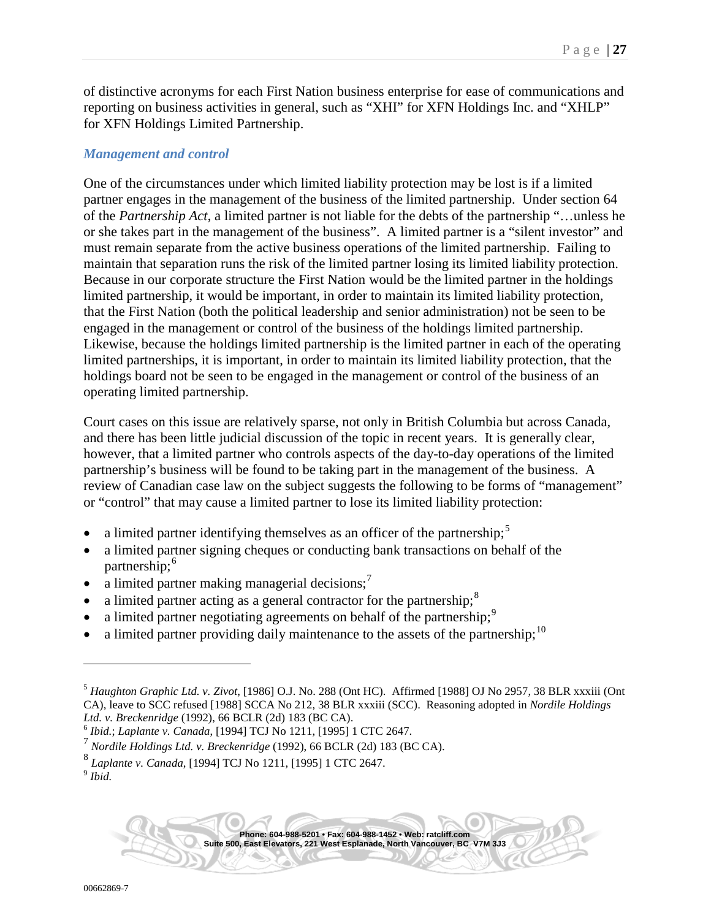of distinctive acronyms for each First Nation business enterprise for ease of communications and reporting on business activities in general, such as "XHI" for XFN Holdings Inc. and "XHLP" for XFN Holdings Limited Partnership.

#### <span id="page-26-6"></span>*Management and control*

One of the circumstances under which limited liability protection may be lost is if a limited partner engages in the management of the business of the limited partnership. Under section 64 of the *Partnership Act*, a limited partner is not liable for the debts of the partnership "…unless he or she takes part in the management of the business". A limited partner is a "silent investor" and must remain separate from the active business operations of the limited partnership. Failing to maintain that separation runs the risk of the limited partner losing its limited liability protection. Because in our corporate structure the First Nation would be the limited partner in the holdings limited partnership, it would be important, in order to maintain its limited liability protection, that the First Nation (both the political leadership and senior administration) not be seen to be engaged in the management or control of the business of the holdings limited partnership. Likewise, because the holdings limited partnership is the limited partner in each of the operating limited partnerships, it is important, in order to maintain its limited liability protection, that the holdings board not be seen to be engaged in the management or control of the business of an operating limited partnership.

Court cases on this issue are relatively sparse, not only in British Columbia but across Canada, and there has been little judicial discussion of the topic in recent years. It is generally clear, however, that a limited partner who controls aspects of the day-to-day operations of the limited partnership's business will be found to be taking part in the management of the business. A review of Canadian case law on the subject suggests the following to be forms of "management" or "control" that may cause a limited partner to lose its limited liability protection:

- a limited partner identifying themselves as an officer of the partnership;<sup>[5](#page-26-0)</sup>
- a limited partner signing cheques or conducting bank transactions on behalf of the partnership;<sup>[6](#page-26-1)</sup>
- a limited partner making managerial decisions; $^7$  $^7$
- a limited partner acting as a general contractor for the partnership; $\frac{8}{3}$  $\frac{8}{3}$  $\frac{8}{3}$
- a limited partner negotiating agreements on behalf of the partnership;<sup>[9](#page-26-4)</sup>
- a limited partner providing daily maintenance to the assets of the partnership;  $10$

<span id="page-26-5"></span><span id="page-26-0"></span><sup>5</sup> *Haughton Graphic Ltd. v. Zivot*, [1986] O.J. No. 288 (Ont HC). Affirmed [1988] OJ No 2957[, 38 BLR xxxiii](http://www.lexisnexis.com/ca/legal/search/runRemoteLink.do?langcountry=CA&linkInfo=F%23CA%23BLR%23sel2%2538%25page%25R33%25vol%2538%25&risb=21_T14763833888&bct=A&service=citation&A=0.8097440191240614) (Ont CA), leave to SCC refused [1988] SCCA No 212, [38 BLR xxxiii](http://www.lexisnexis.com/ca/legal/search/runRemoteLink.do?langcountry=CA&linkInfo=F%23CA%23BLR%23sel2%2538%25page%25R33%25vol%2538%25&risb=21_T14763833888&bct=A&service=citation&A=0.9674568833365165) (SCC). Reasoning adopted in *Nordile Holdings Ltd. v. Breckenridge* (1992), 66 BCLR (2d) 183 (BC CA). <sup>6</sup> *Ibid.*; *Laplante v. Canada*, [1994] TCJ No 1211, [1995] 1 CTC 2647.

<span id="page-26-2"></span><span id="page-26-1"></span><sup>7</sup> *Nordile Holdings Ltd. v. Breckenridge* (1992), 66 BCLR (2d) 183 (BC CA).

<span id="page-26-3"></span><sup>8</sup> *Laplante v. Canada*, [1994] TCJ No 1211, [1995] 1 CTC 2647.

<span id="page-26-4"></span><sup>9</sup> *Ibid.*

**Phone: 604-988-5201 • Fax: 604-988-1452 • Web: ratcliff.com Suite 500, East Elevators, 221 West Esplanade, North Vancouver, BC V7M 3J3**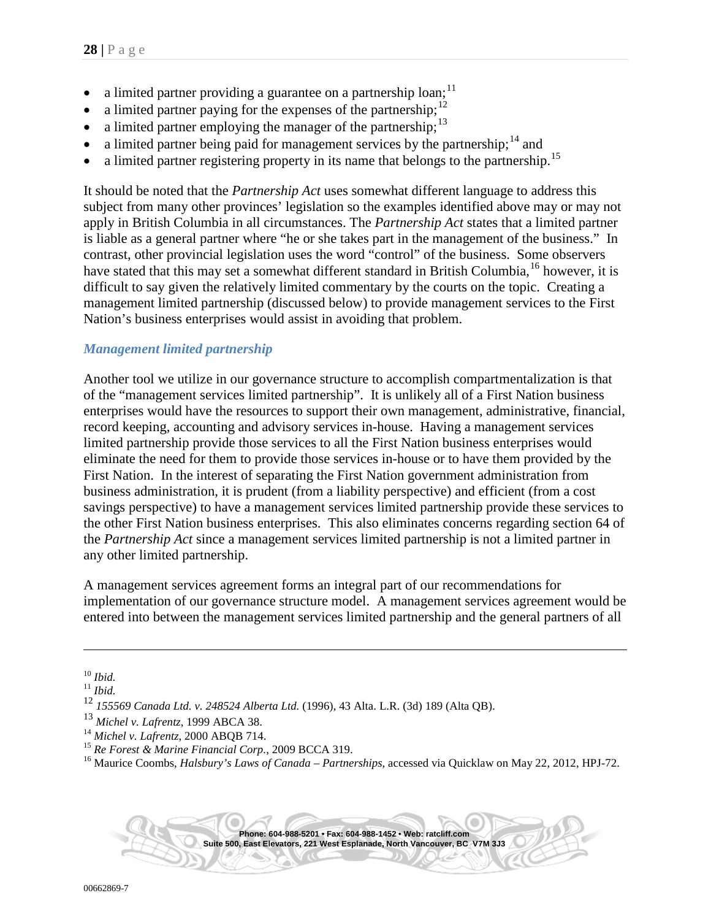- <span id="page-27-7"></span>a limited partner providing a guarantee on a partnership loan;<sup>[11](#page-27-0)</sup>
- a limited partner paying for the expenses of the partnership;<sup>[12](#page-27-1)</sup>
- a limited partner employing the manager of the partnership;<sup>[13](#page-27-2)</sup>
- a limited partner being paid for management services by the partnership;  $14$  and
- <span id="page-27-6"></span>a limited partner registering property in its name that belongs to the partnership.<sup>[15](#page-27-4)</sup>

It should be noted that the *Partnership Act* uses somewhat different language to address this subject from many other provinces' legislation so the examples identified above may or may not apply in British Columbia in all circumstances. The *Partnership Act* states that a limited partner is liable as a general partner where "he or she takes part in the management of the business." In contrast, other provincial legislation uses the word "control" of the business. Some observers have stated that this may set a somewhat different standard in British Columbia,<sup>[16](#page-27-5)</sup> however, it is difficult to say given the relatively limited commentary by the courts on the topic. Creating a management limited partnership (discussed below) to provide management services to the First Nation's business enterprises would assist in avoiding that problem.

## <span id="page-27-8"></span>*Management limited partnership*

Another tool we utilize in our governance structure to accomplish compartmentalization is that of the "management services limited partnership". It is unlikely all of a First Nation business enterprises would have the resources to support their own management, administrative, financial, record keeping, accounting and advisory services in-house. Having a management services limited partnership provide those services to all the First Nation business enterprises would eliminate the need for them to provide those services in-house or to have them provided by the First Nation. In the interest of separating the First Nation government administration from business administration, it is prudent (from a liability perspective) and efficient (from a cost savings perspective) to have a management services limited partnership provide these services to the other First Nation business enterprises. This also eliminates concerns regarding section 64 of the *Partnership Act* since a management services limited partnership is not a limited partner in any other limited partnership.

A management services agreement forms an integral part of our recommendations for implementation of our governance structure model. A management services agreement would be entered into between the management services limited partnership and the general partners of all

 $\overline{a}$ 

<span id="page-27-0"></span><sup>10</sup> *Ibid.* <sup>11</sup> *Ibid.*

<span id="page-27-1"></span><sup>12</sup> *155569 Canada Ltd. v. 248524 Alberta Ltd.* (1996), 43 Alta. L.R. (3d) 189 (Alta QB).

<span id="page-27-2"></span><sup>13</sup> *Michel v. Lafrentz*, 1999 ABCA 38.

<span id="page-27-5"></span><span id="page-27-4"></span><span id="page-27-3"></span><sup>&</sup>lt;sup>15</sup> Re Forest & Marine Financial Corp., 2009 BCCA 319.<br><sup>16</sup> Maurice Coombs, *Halsbury's Laws of Canada – Partnerships*, accessed via Quicklaw on May 22, 2012, HPJ-72.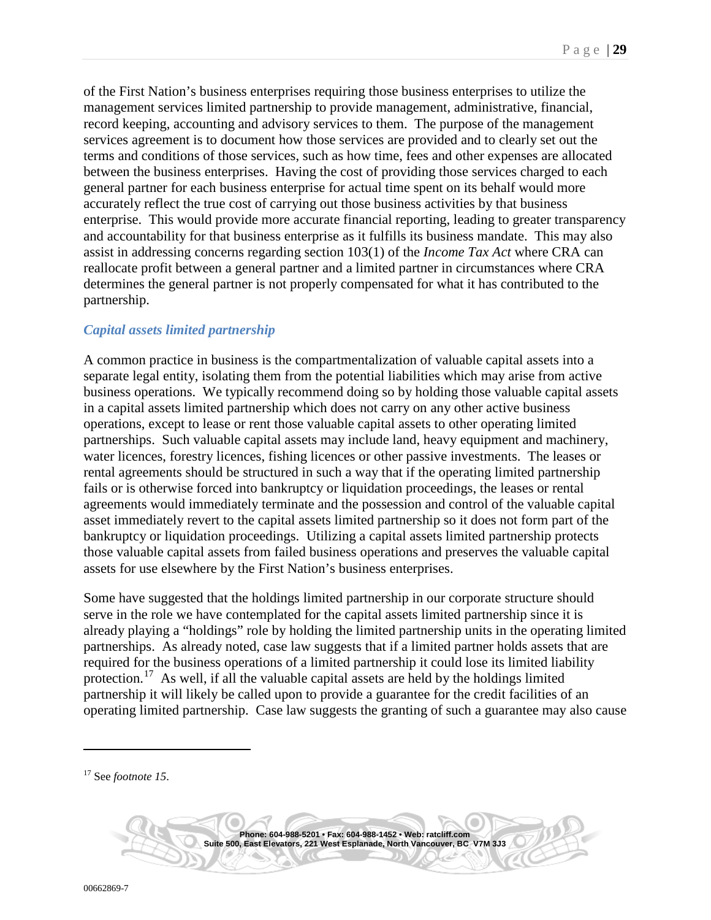of the First Nation's business enterprises requiring those business enterprises to utilize the management services limited partnership to provide management, administrative, financial, record keeping, accounting and advisory services to them. The purpose of the management services agreement is to document how those services are provided and to clearly set out the terms and conditions of those services, such as how time, fees and other expenses are allocated between the business enterprises. Having the cost of providing those services charged to each general partner for each business enterprise for actual time spent on its behalf would more accurately reflect the true cost of carrying out those business activities by that business enterprise. This would provide more accurate financial reporting, leading to greater transparency and accountability for that business enterprise as it fulfills its business mandate. This may also assist in addressing concerns regarding section 103(1) of the *Income Tax Act* where CRA can reallocate profit between a general partner and a limited partner in circumstances where CRA determines the general partner is not properly compensated for what it has contributed to the partnership.

## <span id="page-28-1"></span>*Capital assets limited partnership*

A common practice in business is the compartmentalization of valuable capital assets into a separate legal entity, isolating them from the potential liabilities which may arise from active business operations. We typically recommend doing so by holding those valuable capital assets in a capital assets limited partnership which does not carry on any other active business operations, except to lease or rent those valuable capital assets to other operating limited partnerships. Such valuable capital assets may include land, heavy equipment and machinery, water licences, forestry licences, fishing licences or other passive investments. The leases or rental agreements should be structured in such a way that if the operating limited partnership fails or is otherwise forced into bankruptcy or liquidation proceedings, the leases or rental agreements would immediately terminate and the possession and control of the valuable capital asset immediately revert to the capital assets limited partnership so it does not form part of the bankruptcy or liquidation proceedings. Utilizing a capital assets limited partnership protects those valuable capital assets from failed business operations and preserves the valuable capital assets for use elsewhere by the First Nation's business enterprises.

Some have suggested that the holdings limited partnership in our corporate structure should serve in the role we have contemplated for the capital assets limited partnership since it is already playing a "holdings" role by holding the limited partnership units in the operating limited partnerships. As already noted, case law suggests that if a limited partner holds assets that are required for the business operations of a limited partnership it could lose its limited liability protection.<sup>[17](#page-28-0)</sup> As well, if all the valuable capital assets are held by the holdings limited partnership it will likely be called upon to provide a guarantee for the credit facilities of an operating limited partnership. Case law suggests the granting of such a guarantee may also cause

<span id="page-28-0"></span><sup>17</sup> See *footnote [15](#page-27-6)*.

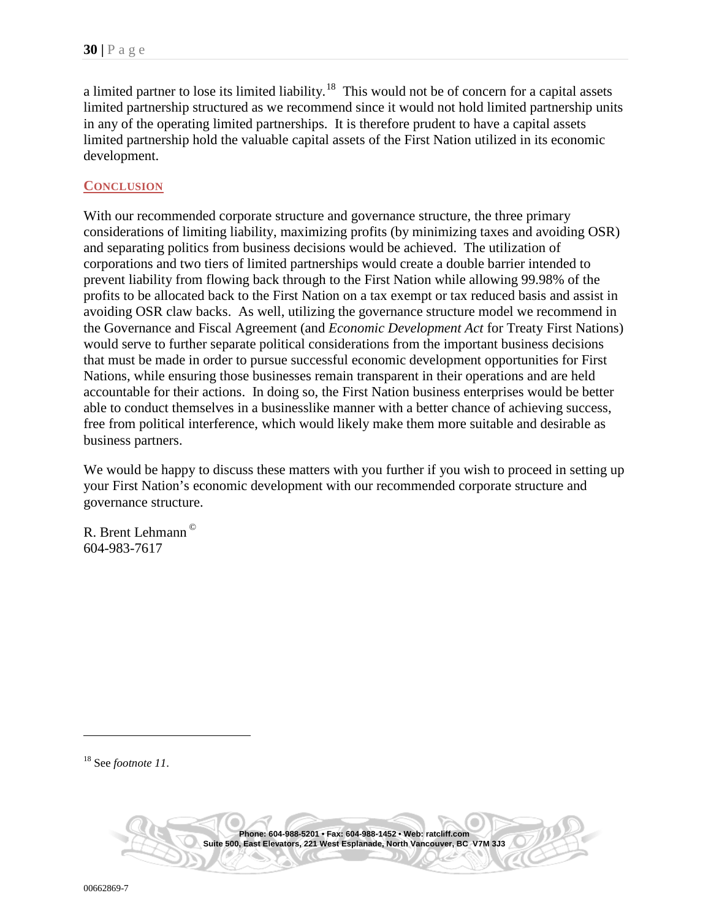a limited partner to lose its limited liability.<sup>[18](#page-29-0)</sup> This would not be of concern for a capital assets limited partnership structured as we recommend since it would not hold limited partnership units in any of the operating limited partnerships. It is therefore prudent to have a capital assets limited partnership hold the valuable capital assets of the First Nation utilized in its economic development.

#### <span id="page-29-1"></span>**CONCLUSION**

With our recommended corporate structure and governance structure, the three primary considerations of limiting liability, maximizing profits (by minimizing taxes and avoiding OSR) and separating politics from business decisions would be achieved. The utilization of corporations and two tiers of limited partnerships would create a double barrier intended to prevent liability from flowing back through to the First Nation while allowing 99.98% of the profits to be allocated back to the First Nation on a tax exempt or tax reduced basis and assist in avoiding OSR claw backs. As well, utilizing the governance structure model we recommend in the Governance and Fiscal Agreement (and *Economic Development Act* for Treaty First Nations) would serve to further separate political considerations from the important business decisions that must be made in order to pursue successful economic development opportunities for First Nations, while ensuring those businesses remain transparent in their operations and are held accountable for their actions. In doing so, the First Nation business enterprises would be better able to conduct themselves in a businesslike manner with a better chance of achieving success, free from political interference, which would likely make them more suitable and desirable as business partners.

We would be happy to discuss these matters with you further if you wish to proceed in setting up your First Nation's economic development with our recommended corporate structure and governance structure.

R. Brent Lehmann © 604-983-7617

<span id="page-29-0"></span><sup>18</sup> See *footnote [11](#page-27-7)*.

 $\overline{a}$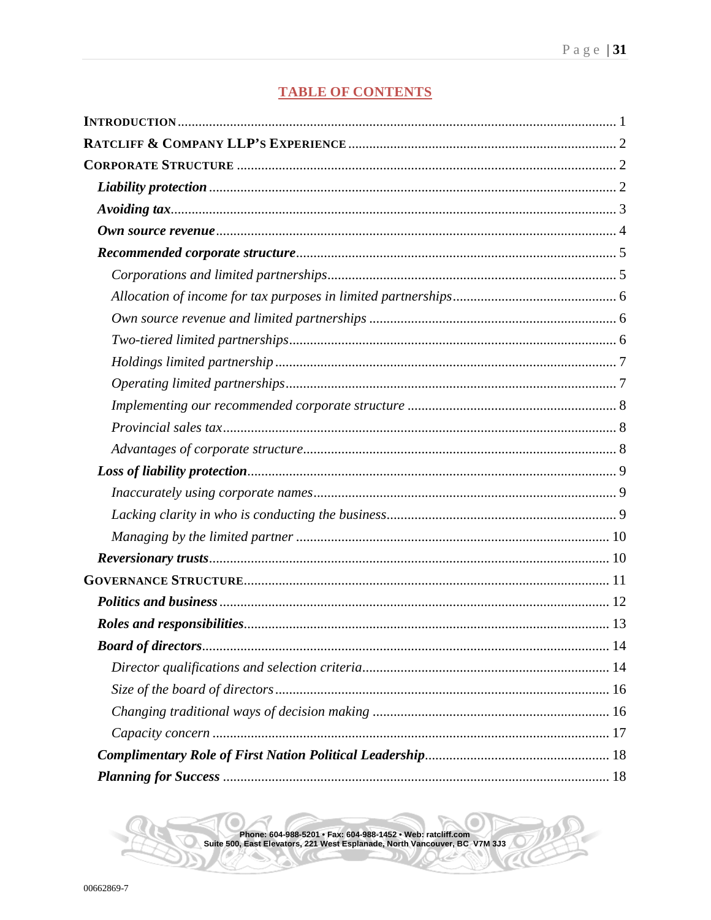## **TABLE OF CONTENTS**

۰